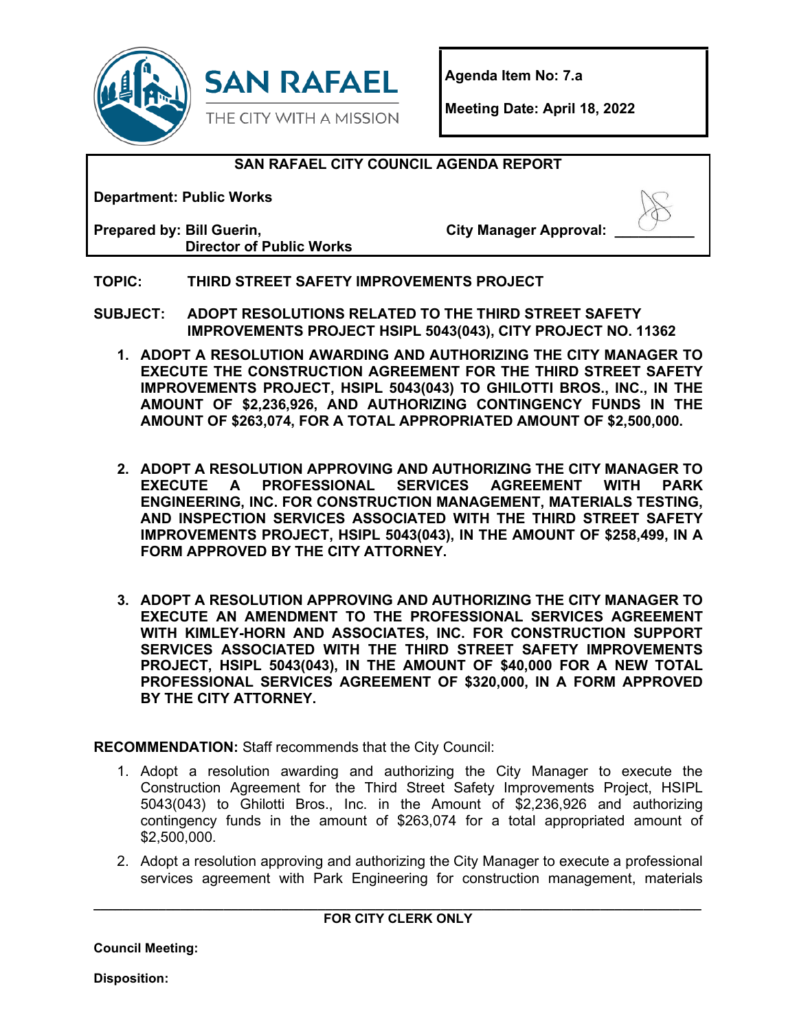



**Agenda Item No: 7.a**

**Meeting Date: April 18, 2022** 

### **SAN RAFAEL CITY COUNCIL AGENDA REPORT**

**Department: Public Works**

**Prepared by: Bill Guerin, Director of Public Works** **City Manager Approval:** 

### **TOPIC: THIRD STREET SAFETY IMPROVEMENTS PROJECT**

**SUBJECT: ADOPT RESOLUTIONS RELATED TO THE THIRD STREET SAFETY IMPROVEMENTS PROJECT HSIPL 5043(043), CITY PROJECT NO. 11362**

- **1. ADOPT A RESOLUTION AWARDING AND AUTHORIZING THE CITY MANAGER TO EXECUTE THE CONSTRUCTION AGREEMENT FOR THE THIRD STREET SAFETY IMPROVEMENTS PROJECT, HSIPL 5043(043) TO GHILOTTI BROS., INC., IN THE AMOUNT OF \$2,236,926, AND AUTHORIZING CONTINGENCY FUNDS IN THE AMOUNT OF \$263,074, FOR A TOTAL APPROPRIATED AMOUNT OF \$2,500,000.**
- **2. ADOPT A RESOLUTION APPROVING AND AUTHORIZING THE CITY MANAGER TO EXECUTE PROFESSIONAL SERVICES ENGINEERING, INC. FOR CONSTRUCTION MANAGEMENT, MATERIALS TESTING, AND INSPECTION SERVICES ASSOCIATED WITH THE THIRD STREET SAFETY IMPROVEMENTS PROJECT, HSIPL 5043(043), IN THE AMOUNT OF \$258,499, IN A FORM APPROVED BY THE CITY ATTORNEY.**
- **3. ADOPT A RESOLUTION APPROVING AND AUTHORIZING THE CITY MANAGER TO EXECUTE AN AMENDMENT TO THE PROFESSIONAL SERVICES AGREEMENT WITH KIMLEY-HORN AND ASSOCIATES, INC. FOR CONSTRUCTION SUPPORT SERVICES ASSOCIATED WITH THE THIRD STREET SAFETY IMPROVEMENTS PROJECT, HSIPL 5043(043), IN THE AMOUNT OF \$40,000 FOR A NEW TOTAL PROFESSIONAL SERVICES AGREEMENT OF \$320,000, IN A FORM APPROVED BY THE CITY ATTORNEY.**

**RECOMMENDATION:** Staff recommends that the City Council:

- 1. Adopt a resolution awarding and authorizing the City Manager to execute the Construction Agreement for the Third Street Safety Improvements Project, HSIPL 5043(043) to Ghilotti Bros., Inc. in the Amount of \$2,236,926 and authorizing contingency funds in the amount of \$263,074 for a total appropriated amount of \$2,500,000.
- 2. Adopt a resolution approving and authorizing the City Manager to execute a professional services agreement with Park Engineering for construction management, materials

**\_\_\_\_\_\_\_\_\_\_\_\_\_\_\_\_\_\_\_\_\_\_\_\_\_\_\_\_\_\_\_\_\_\_\_\_\_\_\_\_\_\_\_\_\_\_\_\_\_\_\_\_\_\_\_\_\_\_\_\_\_\_\_\_\_\_\_\_\_\_\_\_\_\_\_\_\_\_\_\_\_\_\_\_ FOR CITY CLERK ONLY**

**Council Meeting:**

**Disposition:**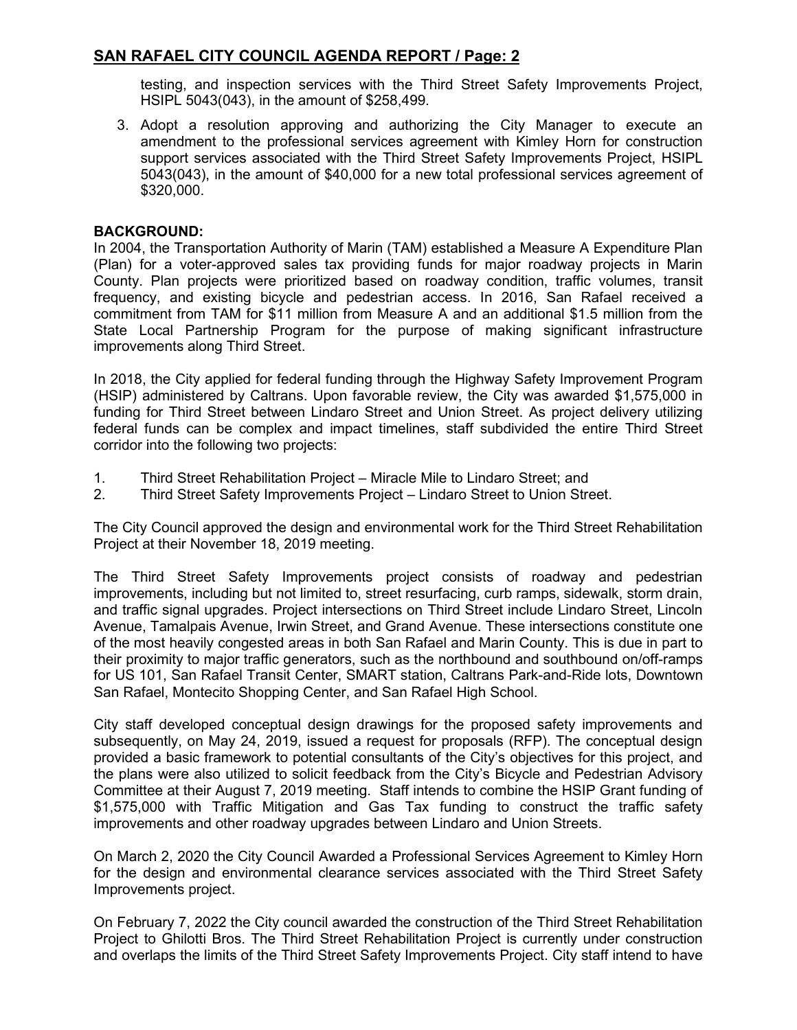testing, and inspection services with the Third Street Safety Improvements Project, HSIPL 5043(043), in the amount of \$258,499.

3. Adopt a resolution approving and authorizing the City Manager to execute an amendment to the professional services agreement with Kimley Horn for construction support services associated with the Third Street Safety Improvements Project, HSIPL 5043(043), in the amount of \$40,000 for a new total professional services agreement of \$320,000.

#### **BACKGROUND:**

In 2004, the Transportation Authority of Marin (TAM) established a Measure A Expenditure Plan (Plan) for a voter-approved sales tax providing funds for major roadway projects in Marin County. Plan projects were prioritized based on roadway condition, traffic volumes, transit frequency, and existing bicycle and pedestrian access. In 2016, San Rafael received a commitment from TAM for \$11 million from Measure A and an additional \$1.5 million from the State Local Partnership Program for the purpose of making significant infrastructure improvements along Third Street.

In 2018, the City applied for federal funding through the Highway Safety Improvement Program (HSIP) administered by Caltrans. Upon favorable review, the City was awarded \$1,575,000 in funding for Third Street between Lindaro Street and Union Street. As project delivery utilizing federal funds can be complex and impact timelines, staff subdivided the entire Third Street corridor into the following two projects:

- 1. Third Street Rehabilitation Project Miracle Mile to Lindaro Street; and
- 2. Third Street Safety Improvements Project Lindaro Street to Union Street.

The City Council approved the design and environmental work for the Third Street Rehabilitation Project at their November 18, 2019 meeting.

The Third Street Safety Improvements project consists of roadway and pedestrian improvements, including but not limited to, street resurfacing, curb ramps, sidewalk, storm drain, and traffic signal upgrades. Project intersections on Third Street include Lindaro Street, Lincoln Avenue, Tamalpais Avenue, Irwin Street, and Grand Avenue. These intersections constitute one of the most heavily congested areas in both San Rafael and Marin County. This is due in part to their proximity to major traffic generators, such as the northbound and southbound on/off-ramps for US 101, San Rafael Transit Center, SMART station, Caltrans Park-and-Ride lots, Downtown San Rafael, Montecito Shopping Center, and San Rafael High School.

City staff developed conceptual design drawings for the proposed safety improvements and subsequently, on May 24, 2019, issued a request for proposals (RFP). The conceptual design provided a basic framework to potential consultants of the City's objectives for this project, and the plans were also utilized to solicit feedback from the City's Bicycle and Pedestrian Advisory Committee at their August 7, 2019 meeting. Staff intends to combine the HSIP Grant funding of \$1,575,000 with Traffic Mitigation and Gas Tax funding to construct the traffic safety improvements and other roadway upgrades between Lindaro and Union Streets.

On March 2, 2020 the City Council Awarded a Professional Services Agreement to Kimley Horn for the design and environmental clearance services associated with the Third Street Safety Improvements project.

On February 7, 2022 the City council awarded the construction of the Third Street Rehabilitation Project to Ghilotti Bros. The Third Street Rehabilitation Project is currently under construction and overlaps the limits of the Third Street Safety Improvements Project. City staff intend to have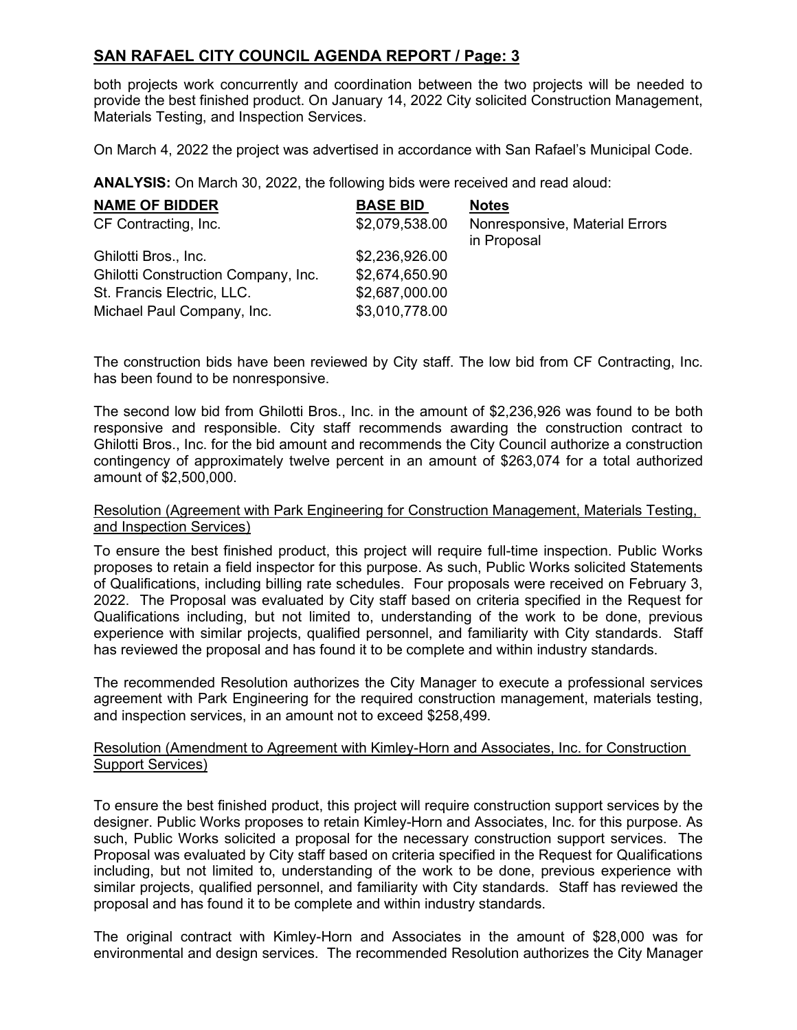both projects work concurrently and coordination between the two projects will be needed to provide the best finished product. On January 14, 2022 City solicited Construction Management, Materials Testing, and Inspection Services.

On March 4, 2022 the project was advertised in accordance with San Rafael's Municipal Code.

**ANALYSIS:** On March 30, 2022, the following bids were received and read aloud:

| <b>NAME OF BIDDER</b>               | <b>BASE BID</b> | <b>Notes</b>                                  |
|-------------------------------------|-----------------|-----------------------------------------------|
| CF Contracting, Inc.                | \$2,079,538.00  | Nonresponsive, Material Errors<br>in Proposal |
| Ghilotti Bros., Inc.                | \$2,236,926.00  |                                               |
| Ghilotti Construction Company, Inc. | \$2,674,650.90  |                                               |
| St. Francis Electric, LLC.          | \$2,687,000.00  |                                               |
| Michael Paul Company, Inc.          | \$3,010,778.00  |                                               |

The construction bids have been reviewed by City staff. The low bid from CF Contracting, Inc. has been found to be nonresponsive.

The second low bid from Ghilotti Bros., Inc. in the amount of \$2,236,926 was found to be both responsive and responsible. City staff recommends awarding the construction contract to Ghilotti Bros., Inc. for the bid amount and recommends the City Council authorize a construction contingency of approximately twelve percent in an amount of \$263,074 for a total authorized amount of \$2,500,000.

#### Resolution (Agreement with Park Engineering for Construction Management, Materials Testing, and Inspection Services)

To ensure the best finished product, this project will require full-time inspection. Public Works proposes to retain a field inspector for this purpose. As such, Public Works solicited Statements of Qualifications, including billing rate schedules. Four proposals were received on February 3, 2022. The Proposal was evaluated by City staff based on criteria specified in the Request for Qualifications including, but not limited to, understanding of the work to be done, previous experience with similar projects, qualified personnel, and familiarity with City standards. Staff has reviewed the proposal and has found it to be complete and within industry standards.

The recommended Resolution authorizes the City Manager to execute a professional services agreement with Park Engineering for the required construction management, materials testing, and inspection services, in an amount not to exceed \$258,499.

#### Resolution (Amendment to Agreement with Kimley-Horn and Associates, Inc. for Construction Support Services)

To ensure the best finished product, this project will require construction support services by the designer. Public Works proposes to retain Kimley-Horn and Associates, Inc. for this purpose. As such, Public Works solicited a proposal for the necessary construction support services. The Proposal was evaluated by City staff based on criteria specified in the Request for Qualifications including, but not limited to, understanding of the work to be done, previous experience with similar projects, qualified personnel, and familiarity with City standards. Staff has reviewed the proposal and has found it to be complete and within industry standards.

The original contract with Kimley-Horn and Associates in the amount of \$28,000 was for environmental and design services. The recommended Resolution authorizes the City Manager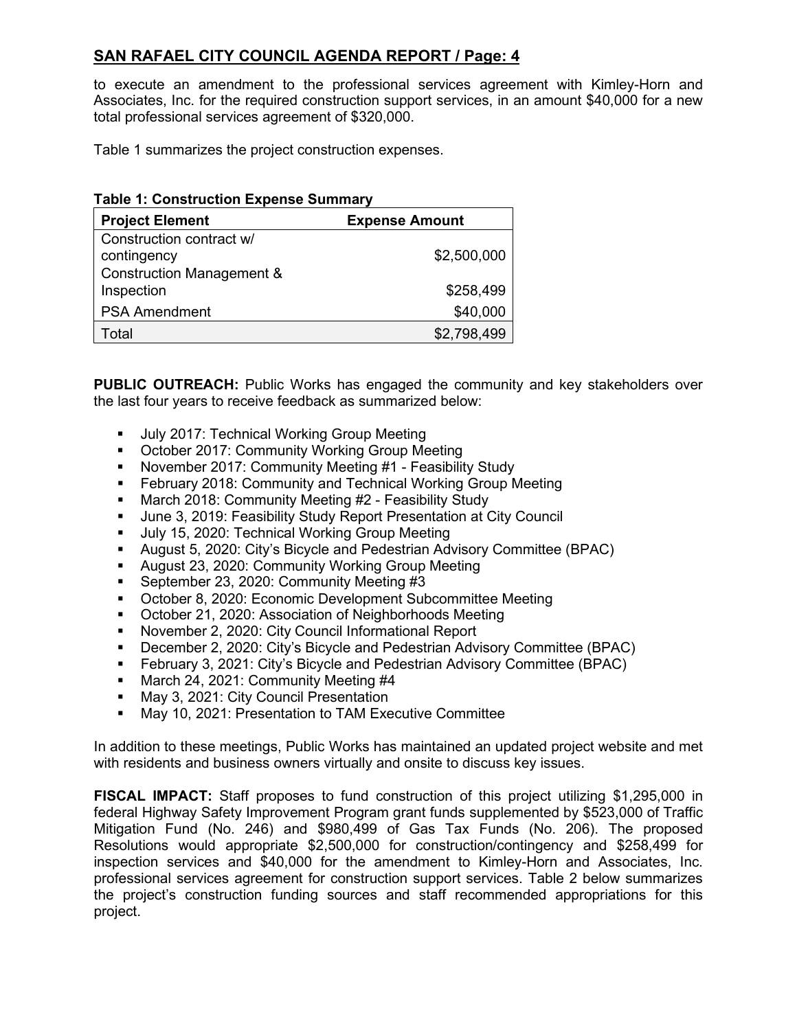to execute an amendment to the professional services agreement with Kimley-Horn and Associates, Inc. for the required construction support services, in an amount \$40,000 for a new total professional services agreement of \$320,000.

Table 1 summarizes the project construction expenses.

| <b>Project Element</b><br><b>Expense Amount</b>                                 |             |
|---------------------------------------------------------------------------------|-------------|
| Construction contract w/<br>contingency<br><b>Construction Management &amp;</b> | \$2,500,000 |
| Inspection                                                                      | \$258,499   |
| <b>PSA Amendment</b>                                                            | \$40,000    |
| Total                                                                           | \$2,798,499 |

**PUBLIC OUTREACH:** Public Works has engaged the community and key stakeholders over the last four years to receive feedback as summarized below:

- **July 2017: Technical Working Group Meeting**
- **October 2017: Community Working Group Meeting**
- **November 2017: Community Meeting #1 Feasibility Study**
- February 2018: Community and Technical Working Group Meeting<br>■ March 2018: Community Meeting #2 Feasibility Study
- March 2018: Community Meeting #2 Feasibility Study
- June 3, 2019: Feasibility Study Report Presentation at City Council
- Uuly 15, 2020: Technical Working Group Meeting
- August 5, 2020: City's Bicycle and Pedestrian Advisory Committee (BPAC)
- August 23, 2020: Community Working Group Meeting
- September 23, 2020: Community Meeting #3
- October 8, 2020: Economic Development Subcommittee Meeting
- October 21, 2020: Association of Neighborhoods Meeting
- November 2, 2020: City Council Informational Report
- December 2, 2020: City's Bicycle and Pedestrian Advisory Committee (BPAC)
- **February 3, 2021: City's Bicycle and Pedestrian Advisory Committee (BPAC)**
- March 24, 2021: Community Meeting #4
- **May 3, 2021: City Council Presentation**
- May 10, 2021: Presentation to TAM Executive Committee

In addition to these meetings, Public Works has maintained an updated project website and met with residents and business owners virtually and onsite to discuss key issues.

**FISCAL IMPACT:** Staff proposes to fund construction of this project utilizing \$1,295,000 in federal Highway Safety Improvement Program grant funds supplemented by \$523,000 of Traffic Mitigation Fund (No. 246) and \$980,499 of Gas Tax Funds (No. 206). The proposed Resolutions would appropriate \$2,500,000 for construction/contingency and \$258,499 for inspection services and \$40,000 for the amendment to Kimley-Horn and Associates, Inc. professional services agreement for construction support services. Table 2 below summarizes the project's construction funding sources and staff recommended appropriations for this project.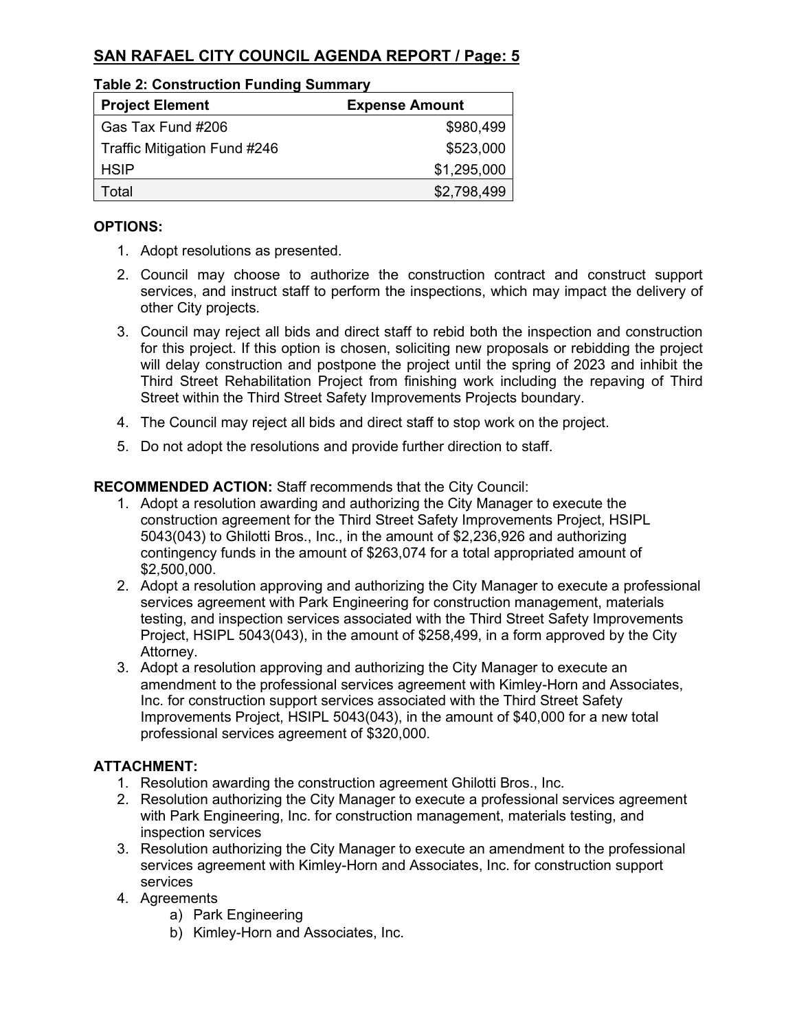| Table 2. Construction Funding Summary |                       |  |  |
|---------------------------------------|-----------------------|--|--|
| <b>Project Element</b>                | <b>Expense Amount</b> |  |  |
| Gas Tax Fund #206                     | \$980,499             |  |  |
| Traffic Mitigation Fund #246          | \$523,000             |  |  |
| <b>HSIP</b>                           | \$1,295,000           |  |  |
| Total                                 | \$2,798,499           |  |  |

# **Table 2: Construction Funding Summary**

#### **OPTIONS:**

- 1. Adopt resolutions as presented.
- 2. Council may choose to authorize the construction contract and construct support services, and instruct staff to perform the inspections, which may impact the delivery of other City projects.
- 3. Council may reject all bids and direct staff to rebid both the inspection and construction for this project. If this option is chosen, soliciting new proposals or rebidding the project will delay construction and postpone the project until the spring of 2023 and inhibit the Third Street Rehabilitation Project from finishing work including the repaving of Third Street within the Third Street Safety Improvements Projects boundary.
- 4. The Council may reject all bids and direct staff to stop work on the project.
- 5. Do not adopt the resolutions and provide further direction to staff.

#### **RECOMMENDED ACTION:** Staff recommends that the City Council:

- 1. Adopt a resolution awarding and authorizing the City Manager to execute the construction agreement for the Third Street Safety Improvements Project, HSIPL 5043(043) to Ghilotti Bros., Inc., in the amount of \$2,236,926 and authorizing contingency funds in the amount of \$263,074 for a total appropriated amount of \$2,500,000.
- 2. Adopt a resolution approving and authorizing the City Manager to execute a professional services agreement with Park Engineering for construction management, materials testing, and inspection services associated with the Third Street Safety Improvements Project, HSIPL 5043(043), in the amount of \$258,499, in a form approved by the City Attorney.
- 3. Adopt a resolution approving and authorizing the City Manager to execute an amendment to the professional services agreement with Kimley-Horn and Associates, Inc. for construction support services associated with the Third Street Safety Improvements Project, HSIPL 5043(043), in the amount of \$40,000 for a new total professional services agreement of \$320,000.

### **ATTACHMENT:**

- 1. Resolution awarding the construction agreement Ghilotti Bros., Inc.
- 2. Resolution authorizing the City Manager to execute a professional services agreement with Park Engineering, Inc. for construction management, materials testing, and inspection services
- 3. Resolution authorizing the City Manager to execute an amendment to the professional services agreement with Kimley-Horn and Associates, Inc. for construction support services
- 4. Agreements
	- a) Park Engineering
	- b) Kimley-Horn and Associates, Inc.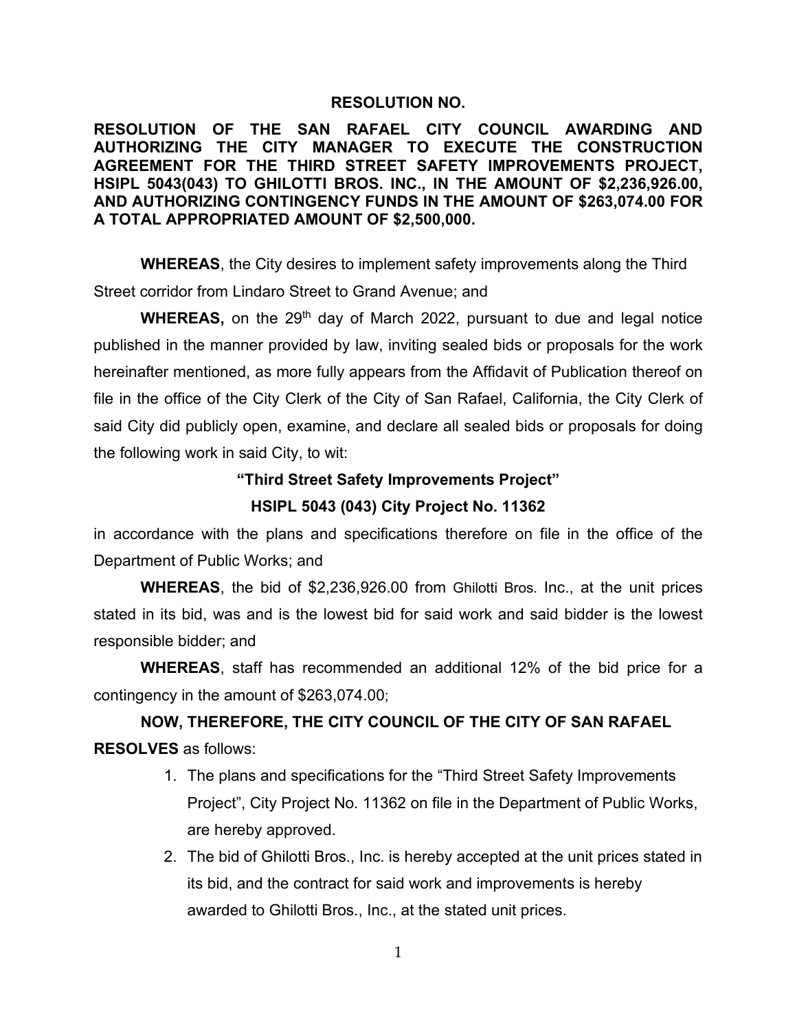#### **RESOLUTION NO.**

**RESOLUTION OF THE SAN RAFAEL CITY COUNCIL AWARDING AND AUTHORIZING THE CITY MANAGER TO EXECUTE THE CONSTRUCTION AGREEMENT FOR THE THIRD STREET SAFETY IMPROVEMENTS PROJECT, HSIPL 5043(043) TO GHILOTTI BROS. INC., IN THE AMOUNT OF \$2,236,926.00, AND AUTHORIZING CONTINGENCY FUNDS IN THE AMOUNT OF \$263,074.00 FOR A TOTAL APPROPRIATED AMOUNT OF \$2,500,000.**

**WHEREAS**, the City desires to implement safety improvements along the Third Street corridor from Lindaro Street to Grand Avenue; and

**WHEREAS,** on the 29<sup>th</sup> day of March 2022, pursuant to due and legal notice published in the manner provided by law, inviting sealed bids or proposals for the work hereinafter mentioned, as more fully appears from the Affidavit of Publication thereof on file in the office of the City Clerk of the City of San Rafael, California, the City Clerk of said City did publicly open, examine, and declare all sealed bids or proposals for doing the following work in said City, to wit:

#### **"Third Street Safety Improvements Project"**

#### **HSIPL 5043 (043) City Project No. 11362**

in accordance with the plans and specifications therefore on file in the office of the Department of Public Works; and

**WHEREAS**, the bid of \$2,236,926.00 from Ghilotti Bros. Inc., at the unit prices stated in its bid, was and is the lowest bid for said work and said bidder is the lowest responsible bidder; and

**WHEREAS**, staff has recommended an additional 12% of the bid price for a contingency in the amount of \$263,074.00;

**NOW, THEREFORE, THE CITY COUNCIL OF THE CITY OF SAN RAFAEL RESOLVES** as follows:

- 1. The plans and specifications for the "Third Street Safety Improvements Project", City Project No. 11362 on file in the Department of Public Works, are hereby approved.
- 2. The bid of Ghilotti Bros., Inc. is hereby accepted at the unit prices stated in its bid, and the contract for said work and improvements is hereby awarded to Ghilotti Bros., Inc., at the stated unit prices.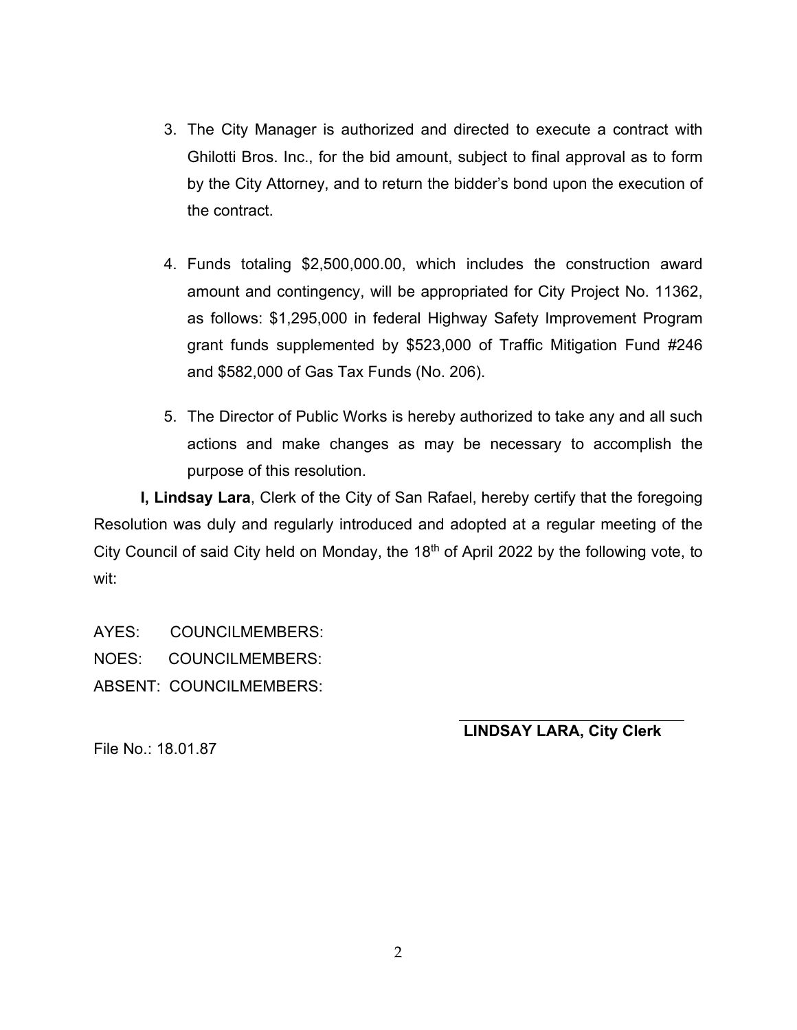- 3. The City Manager is authorized and directed to execute a contract with Ghilotti Bros. Inc., for the bid amount, subject to final approval as to form by the City Attorney, and to return the bidder's bond upon the execution of the contract.
- 4. Funds totaling \$2,500,000.00, which includes the construction award amount and contingency, will be appropriated for City Project No. 11362, as follows: \$1,295,000 in federal Highway Safety Improvement Program grant funds supplemented by \$523,000 of Traffic Mitigation Fund #246 and \$582,000 of Gas Tax Funds (No. 206).
- 5. The Director of Public Works is hereby authorized to take any and all such actions and make changes as may be necessary to accomplish the purpose of this resolution.

**I, Lindsay Lara**, Clerk of the City of San Rafael, hereby certify that the foregoing Resolution was duly and regularly introduced and adopted at a regular meeting of the City Council of said City held on Monday, the  $18<sup>th</sup>$  of April 2022 by the following vote, to wit:

AYES: COUNCILMEMBERS: NOES: COUNCILMEMBERS: ABSENT: COUNCILMEMBERS:

**LINDSAY LARA, City Clerk**

File No.: 18.01.87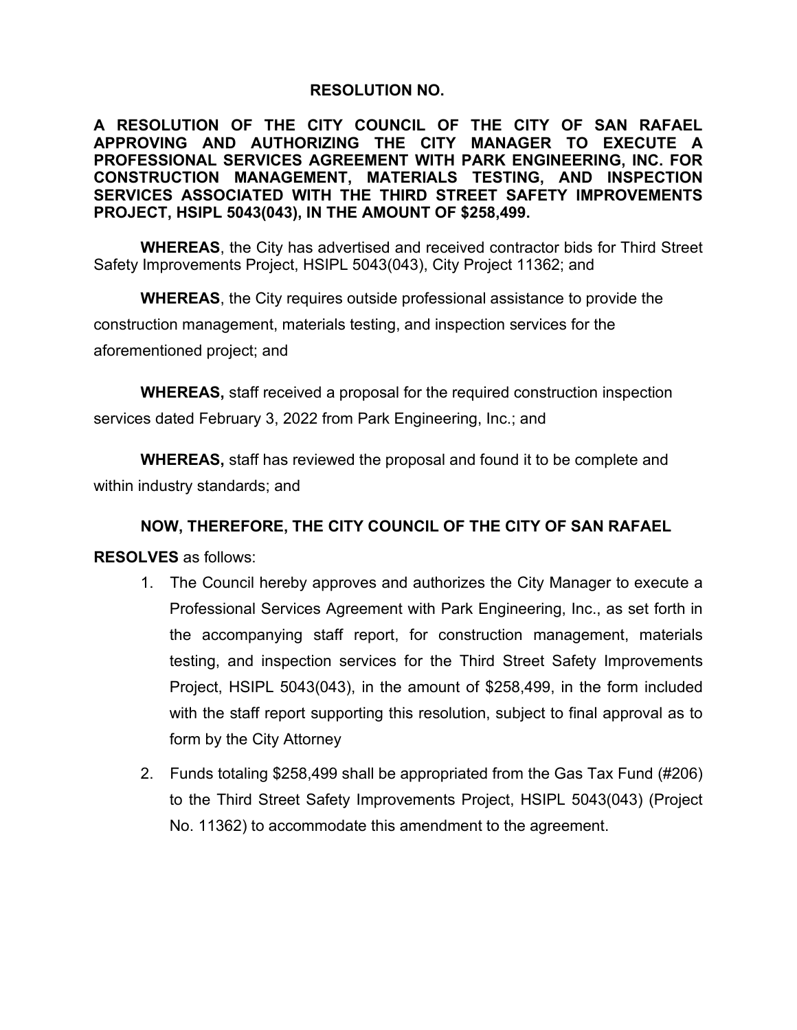# **RESOLUTION NO.**

**A RESOLUTION OF THE CITY COUNCIL OF THE CITY OF SAN RAFAEL APPROVING AND AUTHORIZING THE CITY MANAGER TO EXECUTE A PROFESSIONAL SERVICES AGREEMENT WITH PARK ENGINEERING, INC. FOR CONSTRUCTION MANAGEMENT, MATERIALS TESTING, AND INSPECTION SERVICES ASSOCIATED WITH THE THIRD STREET SAFETY IMPROVEMENTS PROJECT, HSIPL 5043(043), IN THE AMOUNT OF \$258,499.**

**WHEREAS**, the City has advertised and received contractor bids for Third Street Safety Improvements Project, HSIPL 5043(043), City Project 11362; and

**WHEREAS**, the City requires outside professional assistance to provide the construction management, materials testing, and inspection services for the aforementioned project; and

**WHEREAS,** staff received a proposal for the required construction inspection services dated February 3, 2022 from Park Engineering, Inc.; and

**WHEREAS,** staff has reviewed the proposal and found it to be complete and within industry standards; and

# **NOW, THEREFORE, THE CITY COUNCIL OF THE CITY OF SAN RAFAEL**

### **RESOLVES** as follows:

- 1. The Council hereby approves and authorizes the City Manager to execute a Professional Services Agreement with Park Engineering, Inc., as set forth in the accompanying staff report, for construction management, materials testing, and inspection services for the Third Street Safety Improvements Project, HSIPL 5043(043), in the amount of \$258,499, in the form included with the staff report supporting this resolution, subject to final approval as to form by the City Attorney
- 2. Funds totaling \$258,499 shall be appropriated from the Gas Tax Fund (#206) to the Third Street Safety Improvements Project, HSIPL 5043(043) (Project No. 11362) to accommodate this amendment to the agreement.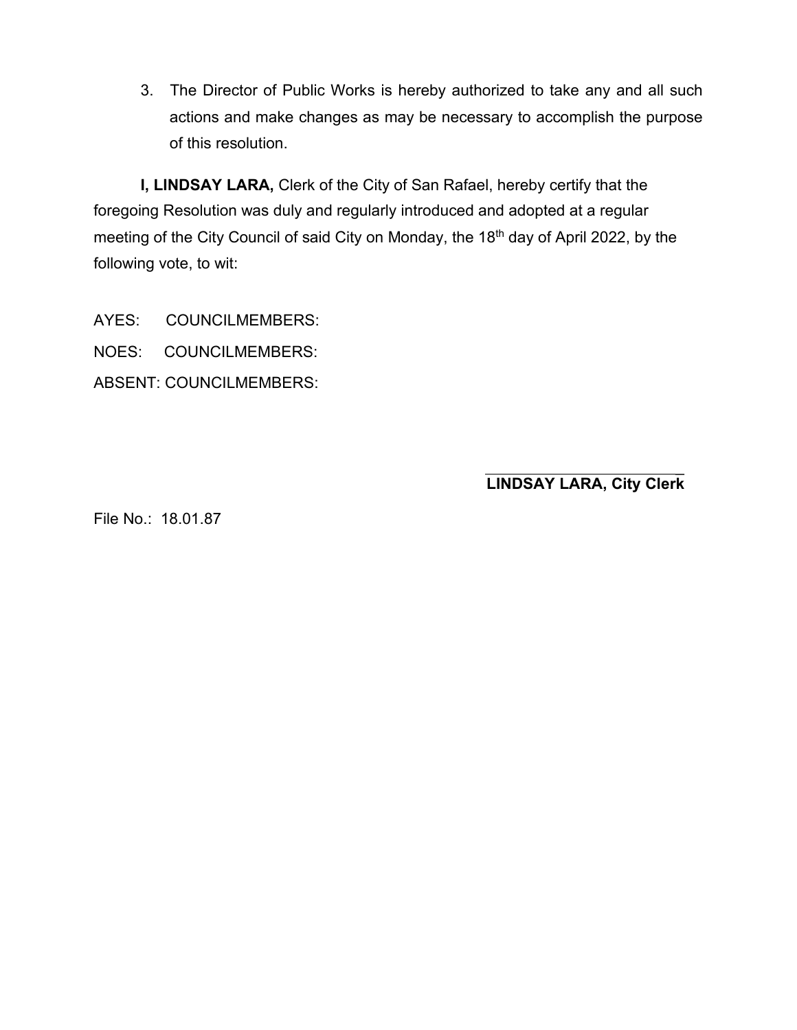3. The Director of Public Works is hereby authorized to take any and all such actions and make changes as may be necessary to accomplish the purpose of this resolution.

**I, LINDSAY LARA,** Clerk of the City of San Rafael, hereby certify that the foregoing Resolution was duly and regularly introduced and adopted at a regular meeting of the City Council of said City on Monday, the 18<sup>th</sup> day of April 2022, by the following vote, to wit:

AYES: COUNCILMEMBERS: NOES: COUNCILMEMBERS: ABSENT: COUNCILMEMBERS:

> \_ **LINDSAY LARA, City Clerk**

File No.: 18.01.87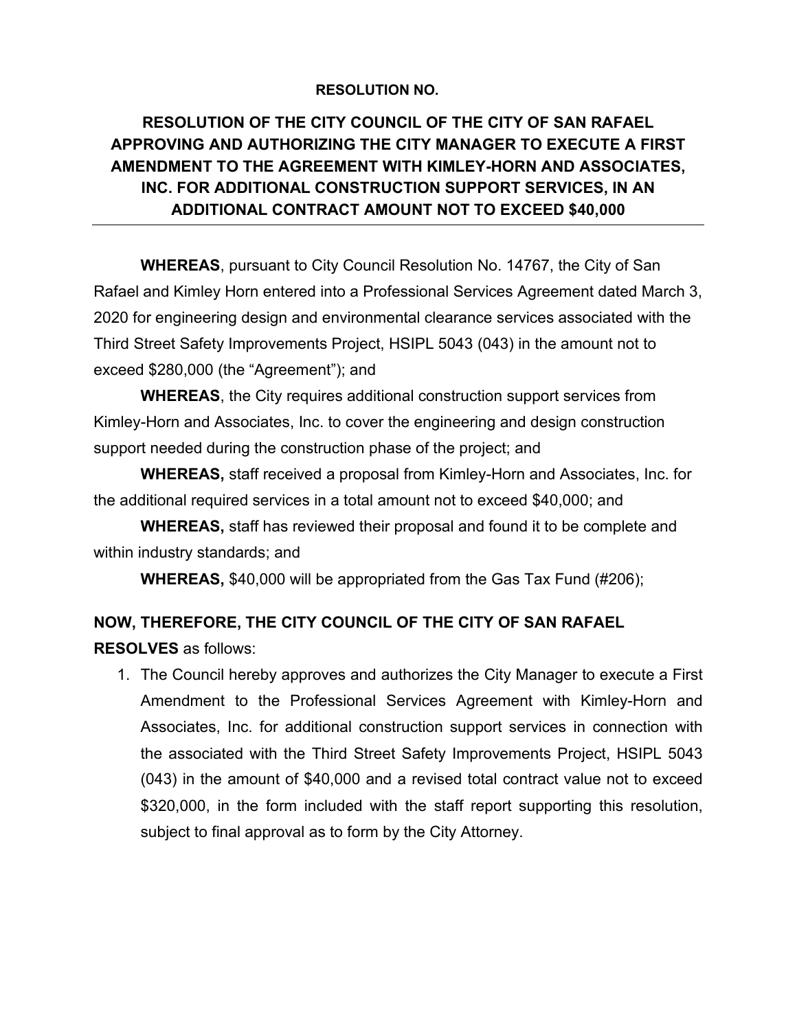## **RESOLUTION NO.**

# **RESOLUTION OF THE CITY COUNCIL OF THE CITY OF SAN RAFAEL APPROVING AND AUTHORIZING THE CITY MANAGER TO EXECUTE A FIRST AMENDMENT TO THE AGREEMENT WITH KIMLEY-HORN AND ASSOCIATES, INC. FOR ADDITIONAL CONSTRUCTION SUPPORT SERVICES, IN AN ADDITIONAL CONTRACT AMOUNT NOT TO EXCEED \$40,000**

**WHEREAS**, pursuant to City Council Resolution No. 14767, the City of San Rafael and Kimley Horn entered into a Professional Services Agreement dated March 3, 2020 for engineering design and environmental clearance services associated with the Third Street Safety Improvements Project, HSIPL 5043 (043) in the amount not to exceed \$280,000 (the "Agreement"); and

**WHEREAS**, the City requires additional construction support services from Kimley-Horn and Associates, Inc. to cover the engineering and design construction support needed during the construction phase of the project; and

**WHEREAS,** staff received a proposal from Kimley-Horn and Associates, Inc. for the additional required services in a total amount not to exceed \$40,000; and

**WHEREAS,** staff has reviewed their proposal and found it to be complete and within industry standards; and

**WHEREAS,** \$40,000 will be appropriated from the Gas Tax Fund (#206);

# **NOW, THEREFORE, THE CITY COUNCIL OF THE CITY OF SAN RAFAEL**

**RESOLVES** as follows:

1. The Council hereby approves and authorizes the City Manager to execute a First Amendment to the Professional Services Agreement with Kimley-Horn and Associates, Inc. for additional construction support services in connection with the associated with the Third Street Safety Improvements Project, HSIPL 5043 (043) in the amount of \$40,000 and a revised total contract value not to exceed \$320,000, in the form included with the staff report supporting this resolution, subject to final approval as to form by the City Attorney.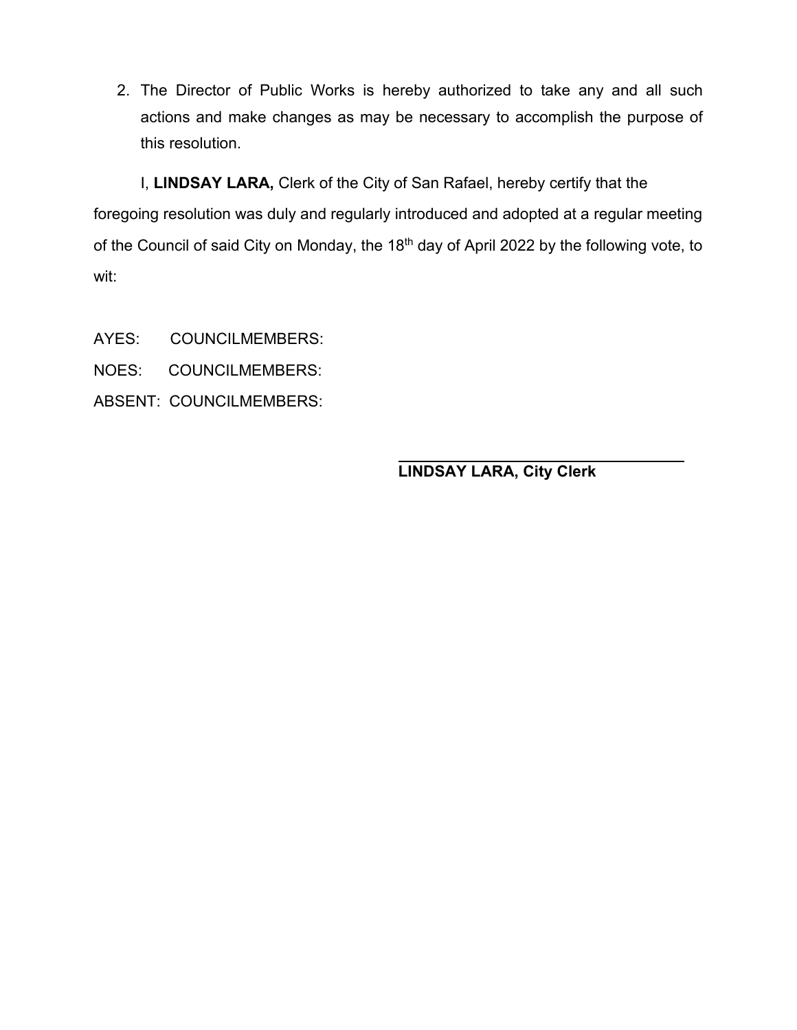2. The Director of Public Works is hereby authorized to take any and all such actions and make changes as may be necessary to accomplish the purpose of this resolution.

I, **LINDSAY LARA,** Clerk of the City of San Rafael, hereby certify that the foregoing resolution was duly and regularly introduced and adopted at a regular meeting of the Council of said City on Monday, the 18<sup>th</sup> day of April 2022 by the following vote, to wit:

- AYES: COUNCILMEMBERS:
- NOES: COUNCILMEMBERS:
- ABSENT: COUNCILMEMBERS:

**LINDSAY LARA, City Clerk**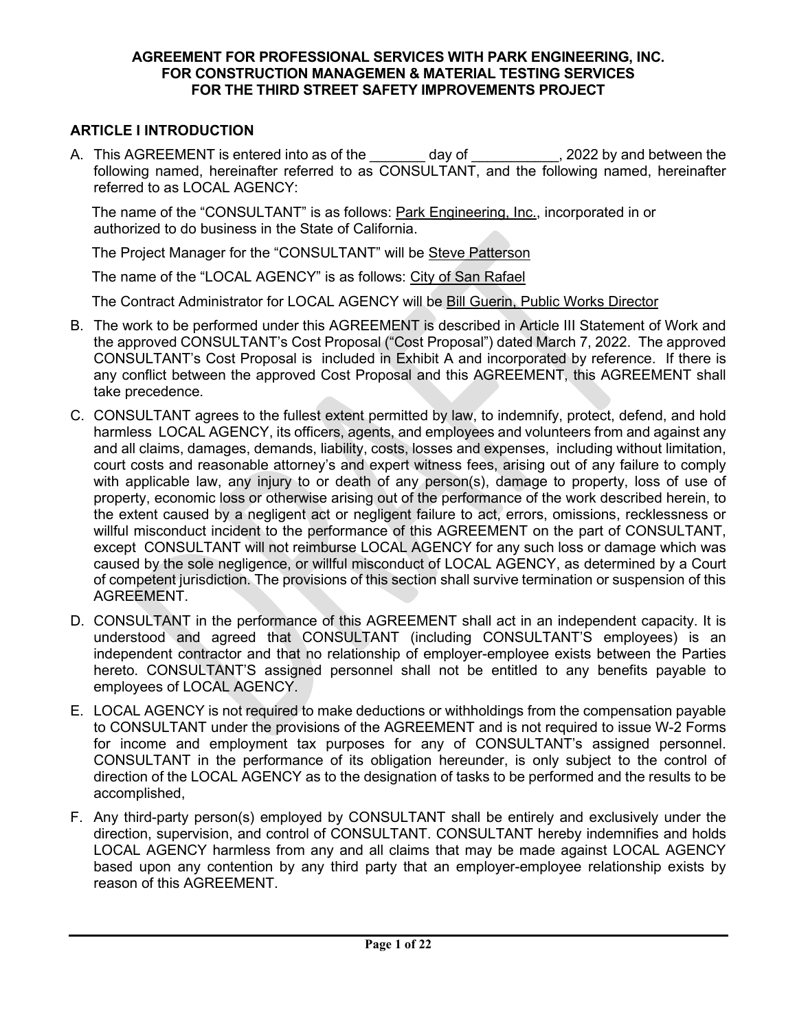#### **AGREEMENT FOR PROFESSIONAL SERVICES WITH PARK ENGINEERING, INC. FOR CONSTRUCTION MANAGEMEN & MATERIAL TESTING SERVICES FOR THE THIRD STREET SAFETY IMPROVEMENTS PROJECT**

## **ARTICLE I INTRODUCTION**

A. This AGREEMENT is entered into as of the day of the case of  $\sim$ , 2022 by and between the following named, hereinafter referred to as CONSULTANT, and the following named, hereinafter referred to as LOCAL AGENCY:

The name of the "CONSULTANT" is as follows: Park Engineering, Inc., incorporated in or authorized to do business in the State of California.

The Project Manager for the "CONSULTANT" will be Steve Patterson

The name of the "LOCAL AGENCY" is as follows: City of San Rafael

The Contract Administrator for LOCAL AGENCY will be Bill Guerin, Public Works Director

- B. The work to be performed under this AGREEMENT is described in Article III Statement of Work and the approved CONSULTANT's Cost Proposal ("Cost Proposal") dated March 7, 2022. The approved CONSULTANT's Cost Proposal is included in Exhibit A and incorporated by reference. If there is any conflict between the approved Cost Proposal and this AGREEMENT, this AGREEMENT shall take precedence.
- C. CONSULTANT agrees to the fullest extent permitted by law, to indemnify, protect, defend, and hold harmless LOCAL AGENCY, its officers, agents, and employees and volunteers from and against any and all claims, damages, demands, liability, costs, losses and expenses, including without limitation, court costs and reasonable attorney's and expert witness fees, arising out of any failure to comply with applicable law, any injury to or death of any person(s), damage to property, loss of use of property, economic loss or otherwise arising out of the performance of the work described herein, to the extent caused by a negligent act or negligent failure to act, errors, omissions, recklessness or willful misconduct incident to the performance of this AGREEMENT on the part of CONSULTANT, except CONSULTANT will not reimburse LOCAL AGENCY for any such loss or damage which was caused by the sole negligence, or willful misconduct of LOCAL AGENCY, as determined by a Court of competent jurisdiction. The provisions of this section shall survive termination or suspension of this AGREEMENT.
- D. CONSULTANT in the performance of this AGREEMENT shall act in an independent capacity. It is understood and agreed that CONSULTANT (including CONSULTANT'S employees) is an independent contractor and that no relationship of employer-employee exists between the Parties hereto. CONSULTANT'S assigned personnel shall not be entitled to any benefits payable to employees of LOCAL AGENCY.
- E. LOCAL AGENCY is not required to make deductions or withholdings from the compensation payable to CONSULTANT under the provisions of the AGREEMENT and is not required to issue W-2 Forms for income and employment tax purposes for any of CONSULTANT's assigned personnel. CONSULTANT in the performance of its obligation hereunder, is only subject to the control of direction of the LOCAL AGENCY as to the designation of tasks to be performed and the results to be accomplished,
- F. Any third-party person(s) employed by CONSULTANT shall be entirely and exclusively under the direction, supervision, and control of CONSULTANT. CONSULTANT hereby indemnifies and holds LOCAL AGENCY harmless from any and all claims that may be made against LOCAL AGENCY based upon any contention by any third party that an employer-employee relationship exists by reason of this AGREEMENT.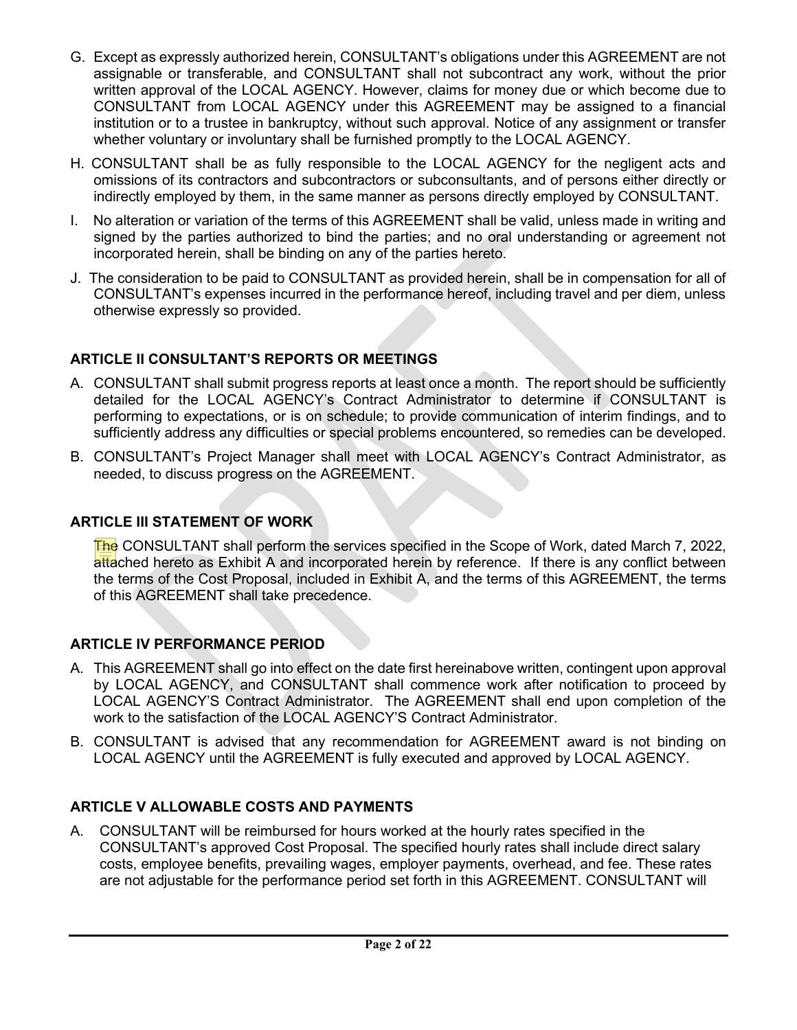- G. Except as expressly authorized herein, CONSULTANT's obligations under this AGREEMENT are not assignable or transferable, and CONSULTANT shall not subcontract any work, without the prior written approval of the LOCAL AGENCY. However, claims for money due or which become due to CONSULTANT from LOCAL AGENCY under this AGREEMENT may be assigned to a financial institution or to a trustee in bankruptcy, without such approval. Notice of any assignment or transfer whether voluntary or involuntary shall be furnished promptly to the LOCAL AGENCY.
- H. CONSULTANT shall be as fully responsible to the LOCAL AGENCY for the negligent acts and omissions of its contractors and subcontractors or subconsultants, and of persons either directly or indirectly employed by them, in the same manner as persons directly employed by CONSULTANT.
- I. No alteration or variation of the terms of this AGREEMENT shall be valid, unless made in writing and signed by the parties authorized to bind the parties; and no oral understanding or agreement not incorporated herein, shall be binding on any of the parties hereto.
- J. The consideration to be paid to CONSULTANT as provided herein, shall be in compensation for all of CONSULTANT's expenses incurred in the performance hereof, including travel and per diem, unless otherwise expressly so provided.

# **ARTICLE II CONSULTANT'S REPORTS OR MEETINGS**

- A. CONSULTANT shall submit progress reports at least once a month. The report should be sufficiently detailed for the LOCAL AGENCY's Contract Administrator to determine if CONSULTANT is performing to expectations, or is on schedule; to provide communication of interim findings, and to sufficiently address any difficulties or special problems encountered, so remedies can be developed.
- B. CONSULTANT's Project Manager shall meet with LOCAL AGENCY's Contract Administrator, as needed, to discuss progress on the AGREEMENT.

# **ARTICLE III STATEMENT OF WORK**

The CONSULTANT shall perform the services specified in the Scope of Work, dated March 7, 2022, attached hereto as Exhibit A and incorporated herein by reference. If there is any conflict between the terms of the Cost Proposal, included in Exhibit A, and the terms of this AGREEMENT, the terms of this AGREEMENT shall take precedence.

# **ARTICLE IV PERFORMANCE PERIOD**

- A. This AGREEMENT shall go into effect on the date first hereinabove written, contingent upon approval by LOCAL AGENCY, and CONSULTANT shall commence work after notification to proceed by LOCAL AGENCY'S Contract Administrator. The AGREEMENT shall end upon completion of the work to the satisfaction of the LOCAL AGENCY'S Contract Administrator.
- B. CONSULTANT is advised that any recommendation for AGREEMENT award is not binding on LOCAL AGENCY until the AGREEMENT is fully executed and approved by LOCAL AGENCY.

# **ARTICLE V ALLOWABLE COSTS AND PAYMENTS**

A. CONSULTANT will be reimbursed for hours worked at the hourly rates specified in the CONSULTANT's approved Cost Proposal. The specified hourly rates shall include direct salary costs, employee benefits, prevailing wages, employer payments, overhead, and fee. These rates are not adjustable for the performance period set forth in this AGREEMENT. CONSULTANT will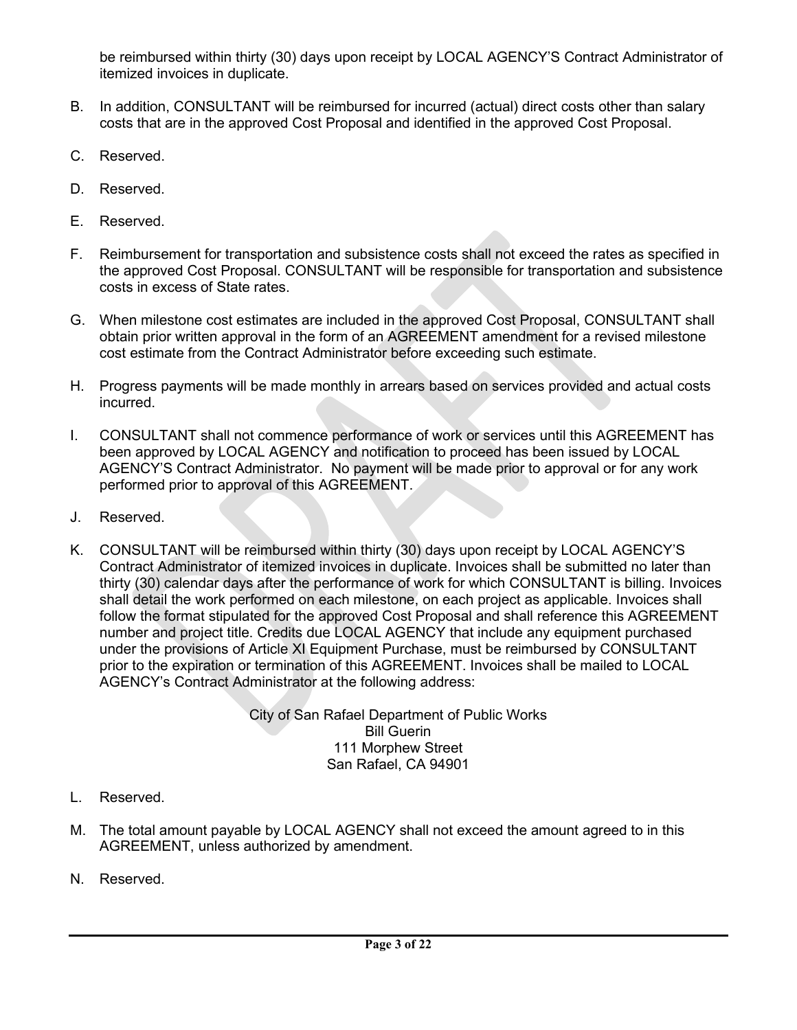be reimbursed within thirty (30) days upon receipt by LOCAL AGENCY'S Contract Administrator of itemized invoices in duplicate.

- B. In addition, CONSULTANT will be reimbursed for incurred (actual) direct costs other than salary costs that are in the approved Cost Proposal and identified in the approved Cost Proposal.
- C. Reserved.
- D. Reserved.
- E. Reserved.
- F. Reimbursement for transportation and subsistence costs shall not exceed the rates as specified in the approved Cost Proposal. CONSULTANT will be responsible for transportation and subsistence costs in excess of State rates.
- G. When milestone cost estimates are included in the approved Cost Proposal, CONSULTANT shall obtain prior written approval in the form of an AGREEMENT amendment for a revised milestone cost estimate from the Contract Administrator before exceeding such estimate.
- H. Progress payments will be made monthly in arrears based on services provided and actual costs incurred.
- I. CONSULTANT shall not commence performance of work or services until this AGREEMENT has been approved by LOCAL AGENCY and notification to proceed has been issued by LOCAL AGENCY'S Contract Administrator. No payment will be made prior to approval or for any work performed prior to approval of this AGREEMENT.
- J. Reserved.
- K. CONSULTANT will be reimbursed within thirty (30) days upon receipt by LOCAL AGENCY'S Contract Administrator of itemized invoices in duplicate. Invoices shall be submitted no later than thirty (30) calendar days after the performance of work for which CONSULTANT is billing. Invoices shall detail the work performed on each milestone, on each project as applicable. Invoices shall follow the format stipulated for the approved Cost Proposal and shall reference this AGREEMENT number and project title. Credits due LOCAL AGENCY that include any equipment purchased under the provisions of Article XI Equipment Purchase, must be reimbursed by CONSULTANT prior to the expiration or termination of this AGREEMENT. Invoices shall be mailed to LOCAL AGENCY's Contract Administrator at the following address:

City of San Rafael Department of Public Works Bill Guerin 111 Morphew Street San Rafael, CA 94901

- L. Reserved.
- M. The total amount payable by LOCAL AGENCY shall not exceed the amount agreed to in this AGREEMENT, unless authorized by amendment.
- N. Reserved.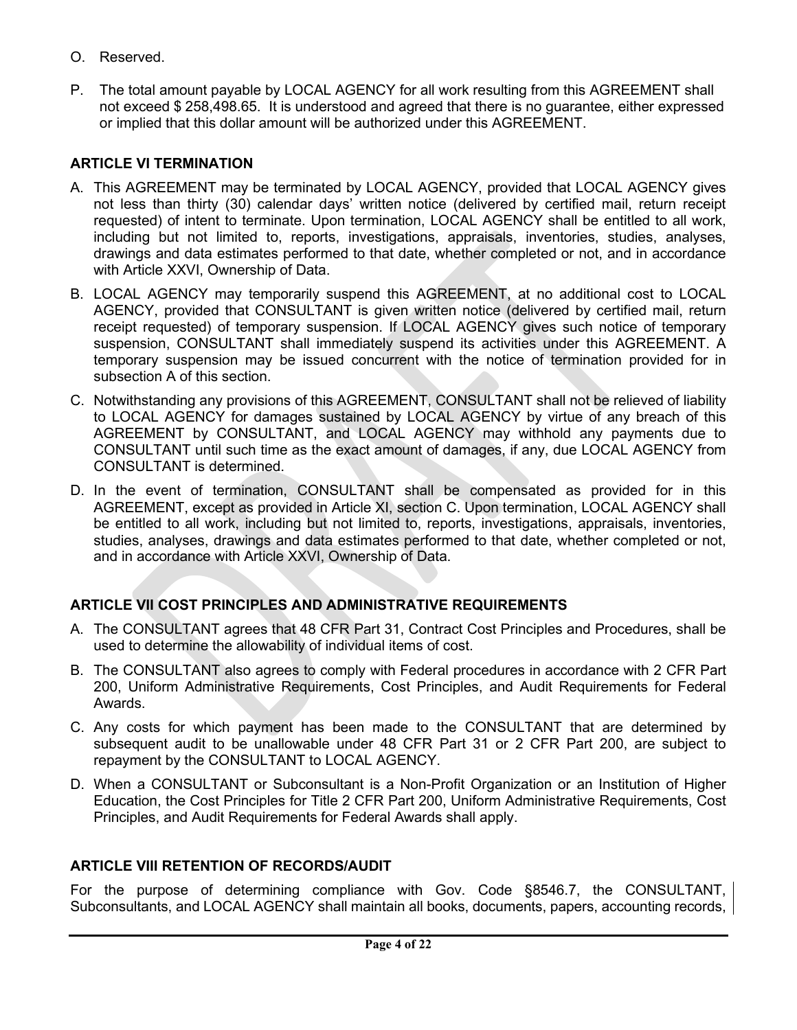- O. Reserved.
- P. The total amount payable by LOCAL AGENCY for all work resulting from this AGREEMENT shall not exceed \$ 258,498.65. It is understood and agreed that there is no guarantee, either expressed or implied that this dollar amount will be authorized under this AGREEMENT.

## **ARTICLE VI TERMINATION**

- A. This AGREEMENT may be terminated by LOCAL AGENCY, provided that LOCAL AGENCY gives not less than thirty (30) calendar days' written notice (delivered by certified mail, return receipt requested) of intent to terminate. Upon termination, LOCAL AGENCY shall be entitled to all work, including but not limited to, reports, investigations, appraisals, inventories, studies, analyses, drawings and data estimates performed to that date, whether completed or not, and in accordance with Article XXVI, Ownership of Data.
- B. LOCAL AGENCY may temporarily suspend this AGREEMENT, at no additional cost to LOCAL AGENCY, provided that CONSULTANT is given written notice (delivered by certified mail, return receipt requested) of temporary suspension. If LOCAL AGENCY gives such notice of temporary suspension, CONSULTANT shall immediately suspend its activities under this AGREEMENT. A temporary suspension may be issued concurrent with the notice of termination provided for in subsection A of this section.
- C. Notwithstanding any provisions of this AGREEMENT, CONSULTANT shall not be relieved of liability to LOCAL AGENCY for damages sustained by LOCAL AGENCY by virtue of any breach of this AGREEMENT by CONSULTANT, and LOCAL AGENCY may withhold any payments due to CONSULTANT until such time as the exact amount of damages, if any, due LOCAL AGENCY from CONSULTANT is determined.
- D. In the event of termination, CONSULTANT shall be compensated as provided for in this AGREEMENT, except as provided in Article XI, section C. Upon termination, LOCAL AGENCY shall be entitled to all work, including but not limited to, reports, investigations, appraisals, inventories, studies, analyses, drawings and data estimates performed to that date, whether completed or not, and in accordance with Article XXVI, Ownership of Data.

# **ARTICLE VII COST PRINCIPLES AND ADMINISTRATIVE REQUIREMENTS**

- A. The CONSULTANT agrees that 48 CFR Part 31, Contract Cost Principles and Procedures, shall be used to determine the allowability of individual items of cost.
- B. The CONSULTANT also agrees to comply with Federal procedures in accordance with 2 CFR Part 200, Uniform Administrative Requirements, Cost Principles, and Audit Requirements for Federal Awards.
- C. Any costs for which payment has been made to the CONSULTANT that are determined by subsequent audit to be unallowable under 48 CFR Part 31 or 2 CFR Part 200, are subject to repayment by the CONSULTANT to LOCAL AGENCY.
- D. When a CONSULTANT or Subconsultant is a Non-Profit Organization or an Institution of Higher Education, the Cost Principles for Title 2 CFR Part 200, Uniform Administrative Requirements, Cost Principles, and Audit Requirements for Federal Awards shall apply.

### **ARTICLE VIII RETENTION OF RECORDS/AUDIT**

For the purpose of determining compliance with Gov. Code §8546.7, the CONSULTANT, Subconsultants, and LOCAL AGENCY shall maintain all books, documents, papers, accounting records,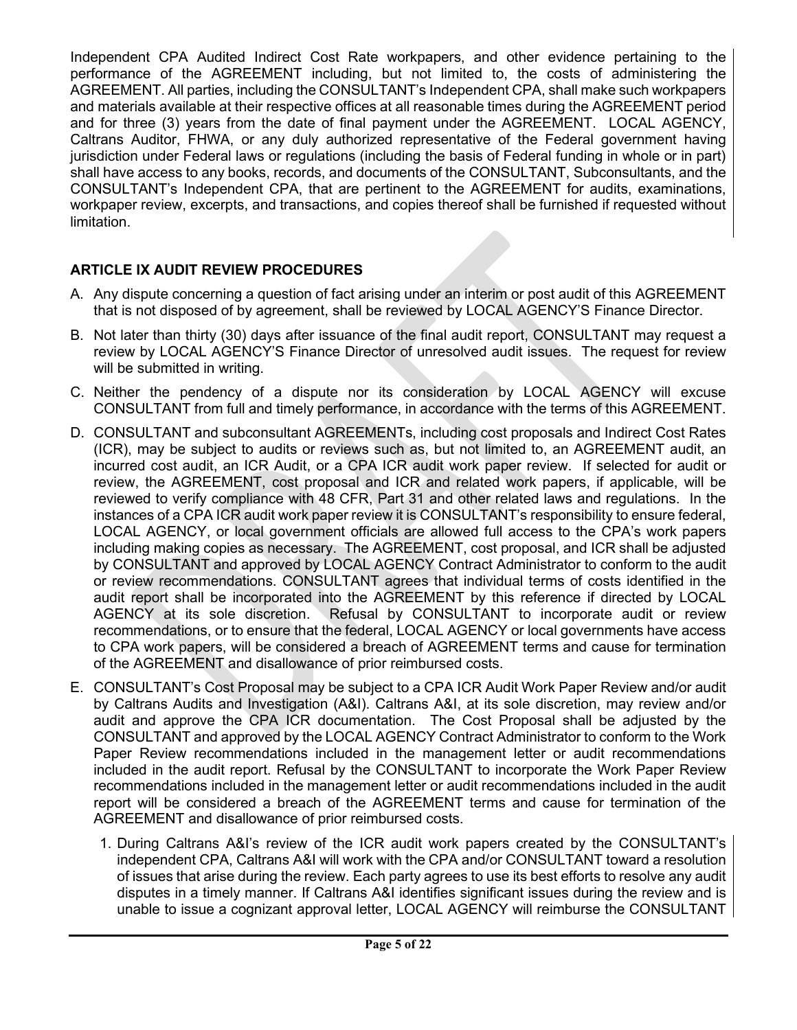Independent CPA Audited Indirect Cost Rate workpapers, and other evidence pertaining to the performance of the AGREEMENT including, but not limited to, the costs of administering the AGREEMENT. All parties, including the CONSULTANT's Independent CPA, shall make such workpapers and materials available at their respective offices at all reasonable times during the AGREEMENT period and for three (3) years from the date of final payment under the AGREEMENT. LOCAL AGENCY, Caltrans Auditor, FHWA, or any duly authorized representative of the Federal government having jurisdiction under Federal laws or regulations (including the basis of Federal funding in whole or in part) shall have access to any books, records, and documents of the CONSULTANT, Subconsultants, and the CONSULTANT's Independent CPA, that are pertinent to the AGREEMENT for audits, examinations, workpaper review, excerpts, and transactions, and copies thereof shall be furnished if requested without limitation.

# **ARTICLE IX AUDIT REVIEW PROCEDURES**

- A. Any dispute concerning a question of fact arising under an interim or post audit of this AGREEMENT that is not disposed of by agreement, shall be reviewed by LOCAL AGENCY'S Finance Director.
- B. Not later than thirty (30) days after issuance of the final audit report, CONSULTANT may request a review by LOCAL AGENCY'S Finance Director of unresolved audit issues. The request for review will be submitted in writing.
- C. Neither the pendency of a dispute nor its consideration by LOCAL AGENCY will excuse CONSULTANT from full and timely performance, in accordance with the terms of this AGREEMENT.
- D. CONSULTANT and subconsultant AGREEMENTs, including cost proposals and Indirect Cost Rates (ICR), may be subject to audits or reviews such as, but not limited to, an AGREEMENT audit, an incurred cost audit, an ICR Audit, or a CPA ICR audit work paper review. If selected for audit or review, the AGREEMENT, cost proposal and ICR and related work papers, if applicable, will be reviewed to verify compliance with 48 CFR, Part 31 and other related laws and regulations. In the instances of a CPA ICR audit work paper review it is CONSULTANT's responsibility to ensure federal, LOCAL AGENCY, or local government officials are allowed full access to the CPA's work papers including making copies as necessary. The AGREEMENT, cost proposal, and ICR shall be adjusted by CONSULTANT and approved by LOCAL AGENCY Contract Administrator to conform to the audit or review recommendations. CONSULTANT agrees that individual terms of costs identified in the audit report shall be incorporated into the AGREEMENT by this reference if directed by LOCAL AGENCY at its sole discretion. Refusal by CONSULTANT to incorporate audit or review recommendations, or to ensure that the federal, LOCAL AGENCY or local governments have access to CPA work papers, will be considered a breach of AGREEMENT terms and cause for termination of the AGREEMENT and disallowance of prior reimbursed costs.
- E. CONSULTANT's Cost Proposal may be subject to a CPA ICR Audit Work Paper Review and/or audit by Caltrans Audits and Investigation (A&I). Caltrans A&I, at its sole discretion, may review and/or audit and approve the CPA ICR documentation. The Cost Proposal shall be adjusted by the CONSULTANT and approved by the LOCAL AGENCY Contract Administrator to conform to the Work Paper Review recommendations included in the management letter or audit recommendations included in the audit report. Refusal by the CONSULTANT to incorporate the Work Paper Review recommendations included in the management letter or audit recommendations included in the audit report will be considered a breach of the AGREEMENT terms and cause for termination of the AGREEMENT and disallowance of prior reimbursed costs.
	- 1. During Caltrans A&I's review of the ICR audit work papers created by the CONSULTANT's independent CPA, Caltrans A&I will work with the CPA and/or CONSULTANT toward a resolution of issues that arise during the review. Each party agrees to use its best efforts to resolve any audit disputes in a timely manner. If Caltrans A&I identifies significant issues during the review and is unable to issue a cognizant approval letter, LOCAL AGENCY will reimburse the CONSULTANT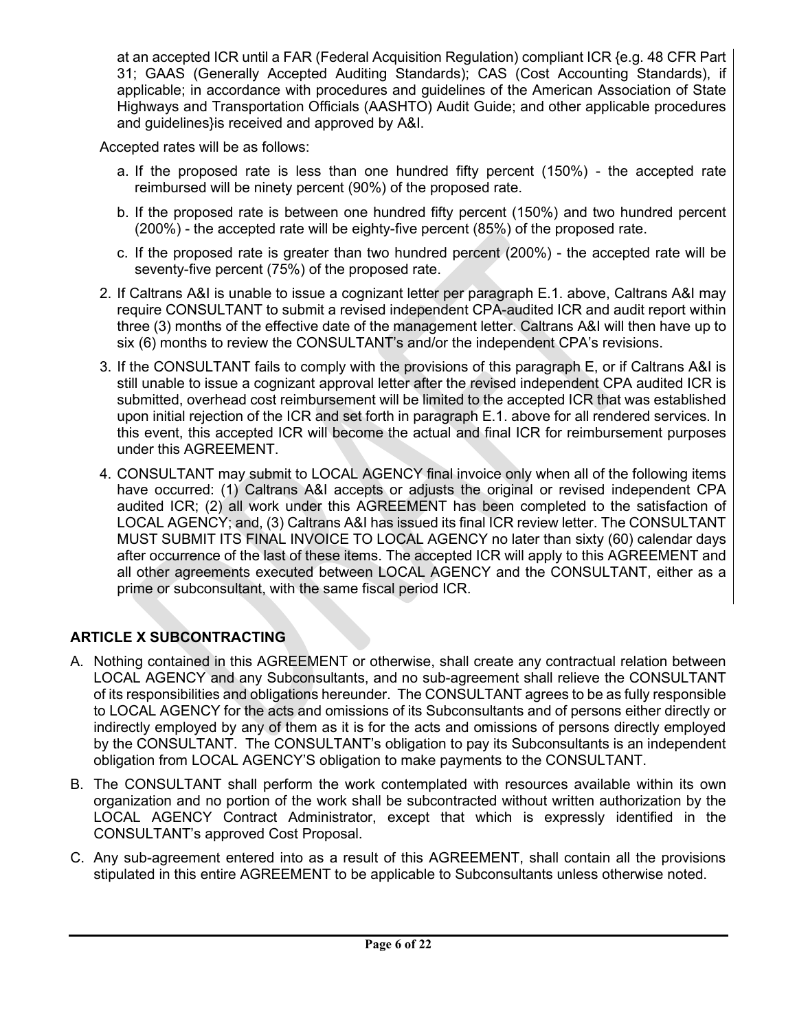at an accepted ICR until a FAR (Federal Acquisition Regulation) compliant ICR {e.g. 48 CFR Part 31; GAAS (Generally Accepted Auditing Standards); CAS (Cost Accounting Standards), if applicable; in accordance with procedures and guidelines of the American Association of State Highways and Transportation Officials (AASHTO) Audit Guide; and other applicable procedures and guidelines}is received and approved by A&I.

Accepted rates will be as follows:

- a. If the proposed rate is less than one hundred fifty percent (150%) the accepted rate reimbursed will be ninety percent (90%) of the proposed rate.
- b. If the proposed rate is between one hundred fifty percent (150%) and two hundred percent (200%) - the accepted rate will be eighty-five percent (85%) of the proposed rate.
- c. If the proposed rate is greater than two hundred percent (200%) the accepted rate will be seventy-five percent (75%) of the proposed rate.
- 2. If Caltrans A&I is unable to issue a cognizant letter per paragraph E.1. above, Caltrans A&I may require CONSULTANT to submit a revised independent CPA-audited ICR and audit report within three (3) months of the effective date of the management letter. Caltrans A&I will then have up to six (6) months to review the CONSULTANT's and/or the independent CPA's revisions.
- 3. If the CONSULTANT fails to comply with the provisions of this paragraph E, or if Caltrans A&I is still unable to issue a cognizant approval letter after the revised independent CPA audited ICR is submitted, overhead cost reimbursement will be limited to the accepted ICR that was established upon initial rejection of the ICR and set forth in paragraph E.1. above for all rendered services. In this event, this accepted ICR will become the actual and final ICR for reimbursement purposes under this AGREEMENT.
- 4. CONSULTANT may submit to LOCAL AGENCY final invoice only when all of the following items have occurred: (1) Caltrans A&I accepts or adjusts the original or revised independent CPA audited ICR; (2) all work under this AGREEMENT has been completed to the satisfaction of LOCAL AGENCY; and, (3) Caltrans A&I has issued its final ICR review letter. The CONSULTANT MUST SUBMIT ITS FINAL INVOICE TO LOCAL AGENCY no later than sixty (60) calendar days after occurrence of the last of these items. The accepted ICR will apply to this AGREEMENT and all other agreements executed between LOCAL AGENCY and the CONSULTANT, either as a prime or subconsultant, with the same fiscal period ICR.

# **ARTICLE X SUBCONTRACTING**

- A. Nothing contained in this AGREEMENT or otherwise, shall create any contractual relation between LOCAL AGENCY and any Subconsultants, and no sub-agreement shall relieve the CONSULTANT of its responsibilities and obligations hereunder. The CONSULTANT agrees to be as fully responsible to LOCAL AGENCY for the acts and omissions of its Subconsultants and of persons either directly or indirectly employed by any of them as it is for the acts and omissions of persons directly employed by the CONSULTANT. The CONSULTANT's obligation to pay its Subconsultants is an independent obligation from LOCAL AGENCY'S obligation to make payments to the CONSULTANT.
- B. The CONSULTANT shall perform the work contemplated with resources available within its own organization and no portion of the work shall be subcontracted without written authorization by the LOCAL AGENCY Contract Administrator, except that which is expressly identified in the CONSULTANT's approved Cost Proposal.
- C. Any sub-agreement entered into as a result of this AGREEMENT, shall contain all the provisions stipulated in this entire AGREEMENT to be applicable to Subconsultants unless otherwise noted.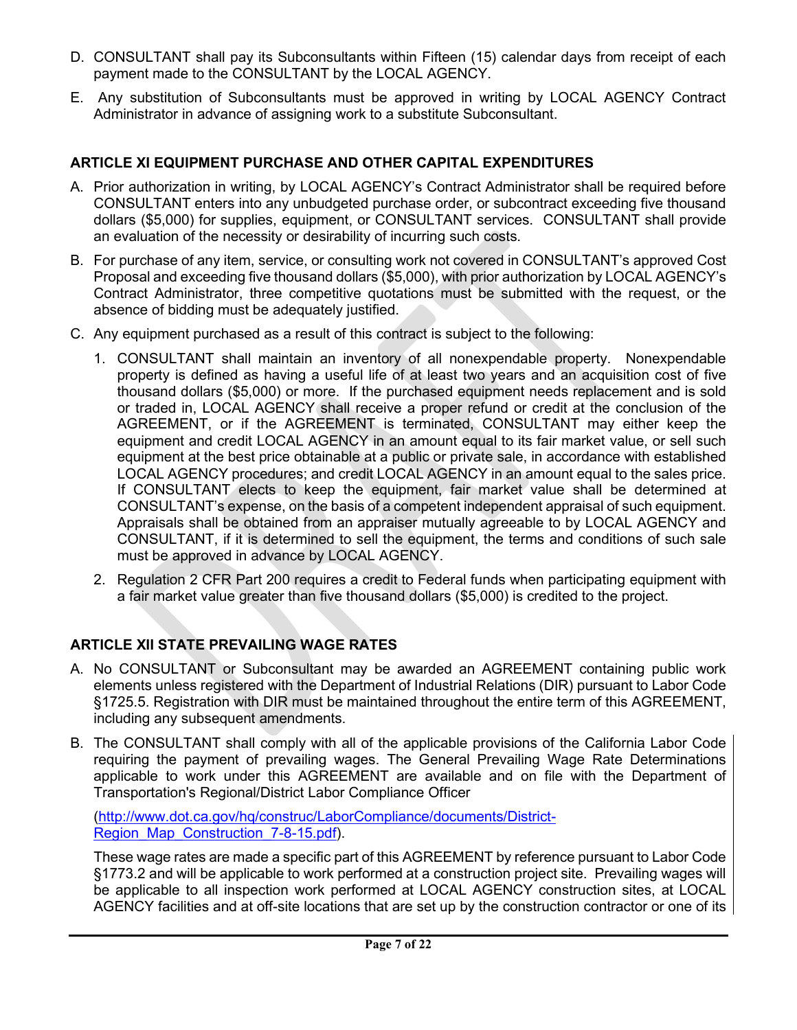- D. CONSULTANT shall pay its Subconsultants within Fifteen (15) calendar days from receipt of each payment made to the CONSULTANT by the LOCAL AGENCY.
- E. Any substitution of Subconsultants must be approved in writing by LOCAL AGENCY Contract Administrator in advance of assigning work to a substitute Subconsultant.

## **ARTICLE XI EQUIPMENT PURCHASE AND OTHER CAPITAL EXPENDITURES**

- A. Prior authorization in writing, by LOCAL AGENCY's Contract Administrator shall be required before CONSULTANT enters into any unbudgeted purchase order, or subcontract exceeding five thousand dollars (\$5,000) for supplies, equipment, or CONSULTANT services. CONSULTANT shall provide an evaluation of the necessity or desirability of incurring such costs.
- B. For purchase of any item, service, or consulting work not covered in CONSULTANT's approved Cost Proposal and exceeding five thousand dollars (\$5,000), with prior authorization by LOCAL AGENCY's Contract Administrator, three competitive quotations must be submitted with the request, or the absence of bidding must be adequately justified.
- C. Any equipment purchased as a result of this contract is subject to the following:
	- 1. CONSULTANT shall maintain an inventory of all nonexpendable property. Nonexpendable property is defined as having a useful life of at least two years and an acquisition cost of five thousand dollars (\$5,000) or more. If the purchased equipment needs replacement and is sold or traded in, LOCAL AGENCY shall receive a proper refund or credit at the conclusion of the AGREEMENT, or if the AGREEMENT is terminated, CONSULTANT may either keep the equipment and credit LOCAL AGENCY in an amount equal to its fair market value, or sell such equipment at the best price obtainable at a public or private sale, in accordance with established LOCAL AGENCY procedures; and credit LOCAL AGENCY in an amount equal to the sales price. If CONSULTANT elects to keep the equipment, fair market value shall be determined at CONSULTANT's expense, on the basis of a competent independent appraisal of such equipment. Appraisals shall be obtained from an appraiser mutually agreeable to by LOCAL AGENCY and CONSULTANT, if it is determined to sell the equipment, the terms and conditions of such sale must be approved in advance by LOCAL AGENCY.
	- 2. Regulation 2 CFR Part 200 requires a credit to Federal funds when participating equipment with a fair market value greater than five thousand dollars (\$5,000) is credited to the project.

# **ARTICLE XII STATE PREVAILING WAGE RATES**

- A. No CONSULTANT or Subconsultant may be awarded an AGREEMENT containing public work elements unless registered with the Department of Industrial Relations (DIR) pursuant to Labor Code §1725.5. Registration with DIR must be maintained throughout the entire term of this AGREEMENT, including any subsequent amendments.
- B. The CONSULTANT shall comply with all of the applicable provisions of the California Labor Code requiring the payment of prevailing wages. The General Prevailing Wage Rate Determinations applicable to work under this AGREEMENT are available and on file with the Department of Transportation's Regional/District Labor Compliance Officer

[\(http://www.dot.ca.gov/hq/construc/LaborCompliance/documents/District-](http://www.dot.ca.gov/hq/construc/LaborCompliance/documents/District-Region_Map_Construction_7-8-15.pdf)Region Map Construction 7-8-15.pdf).

These wage rates are made a specific part of this AGREEMENT by reference pursuant to Labor Code §1773.2 and will be applicable to work performed at a construction project site. Prevailing wages will be applicable to all inspection work performed at LOCAL AGENCY construction sites, at LOCAL AGENCY facilities and at off-site locations that are set up by the construction contractor or one of its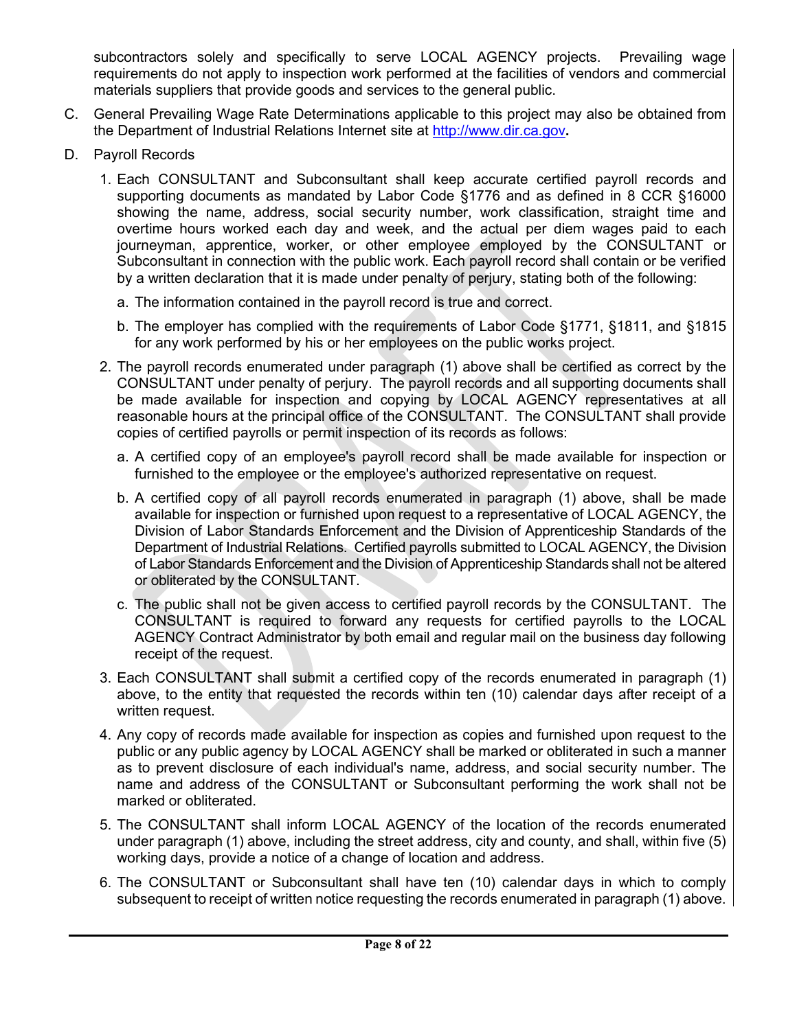subcontractors solely and specifically to serve LOCAL AGENCY projects. Prevailing wage requirements do not apply to inspection work performed at the facilities of vendors and commercial materials suppliers that provide goods and services to the general public.

- C. General Prevailing Wage Rate Determinations applicable to this project may also be obtained from the Department of Industrial Relations Internet site at [http://www.dir.ca.gov](http://www.dir.ca.gov/)**.**
- D. Payroll Records
	- 1. Each CONSULTANT and Subconsultant shall keep accurate certified payroll records and supporting documents as mandated by Labor Code §1776 and as defined in 8 CCR §16000 showing the name, address, social security number, work classification, straight time and overtime hours worked each day and week, and the actual per diem wages paid to each journeyman, apprentice, worker, or other employee employed by the CONSULTANT or Subconsultant in connection with the public work. Each payroll record shall contain or be verified by a written declaration that it is made under penalty of perjury, stating both of the following:
		- a. The information contained in the payroll record is true and correct.
		- b. The employer has complied with the requirements of Labor Code §1771, §1811, and §1815 for any work performed by his or her employees on the public works project.
	- 2. The payroll records enumerated under paragraph (1) above shall be certified as correct by the CONSULTANT under penalty of perjury. The payroll records and all supporting documents shall be made available for inspection and copying by LOCAL AGENCY representatives at all reasonable hours at the principal office of the CONSULTANT. The CONSULTANT shall provide copies of certified payrolls or permit inspection of its records as follows:
		- a. A certified copy of an employee's payroll record shall be made available for inspection or furnished to the employee or the employee's authorized representative on request.
		- b. A certified copy of all payroll records enumerated in paragraph (1) above, shall be made available for inspection or furnished upon request to a representative of LOCAL AGENCY, the Division of Labor Standards Enforcement and the Division of Apprenticeship Standards of the Department of Industrial Relations. Certified payrolls submitted to LOCAL AGENCY, the Division of Labor Standards Enforcement and the Division of Apprenticeship Standards shall not be altered or obliterated by the CONSULTANT.
		- c. The public shall not be given access to certified payroll records by the CONSULTANT. The CONSULTANT is required to forward any requests for certified payrolls to the LOCAL AGENCY Contract Administrator by both email and regular mail on the business day following receipt of the request.
	- 3. Each CONSULTANT shall submit a certified copy of the records enumerated in paragraph (1) above, to the entity that requested the records within ten (10) calendar days after receipt of a written request.
	- 4. Any copy of records made available for inspection as copies and furnished upon request to the public or any public agency by LOCAL AGENCY shall be marked or obliterated in such a manner as to prevent disclosure of each individual's name, address, and social security number. The name and address of the CONSULTANT or Subconsultant performing the work shall not be marked or obliterated.
	- 5. The CONSULTANT shall inform LOCAL AGENCY of the location of the records enumerated under paragraph (1) above, including the street address, city and county, and shall, within five (5) working days, provide a notice of a change of location and address.
	- 6. The CONSULTANT or Subconsultant shall have ten (10) calendar days in which to comply subsequent to receipt of written notice requesting the records enumerated in paragraph (1) above.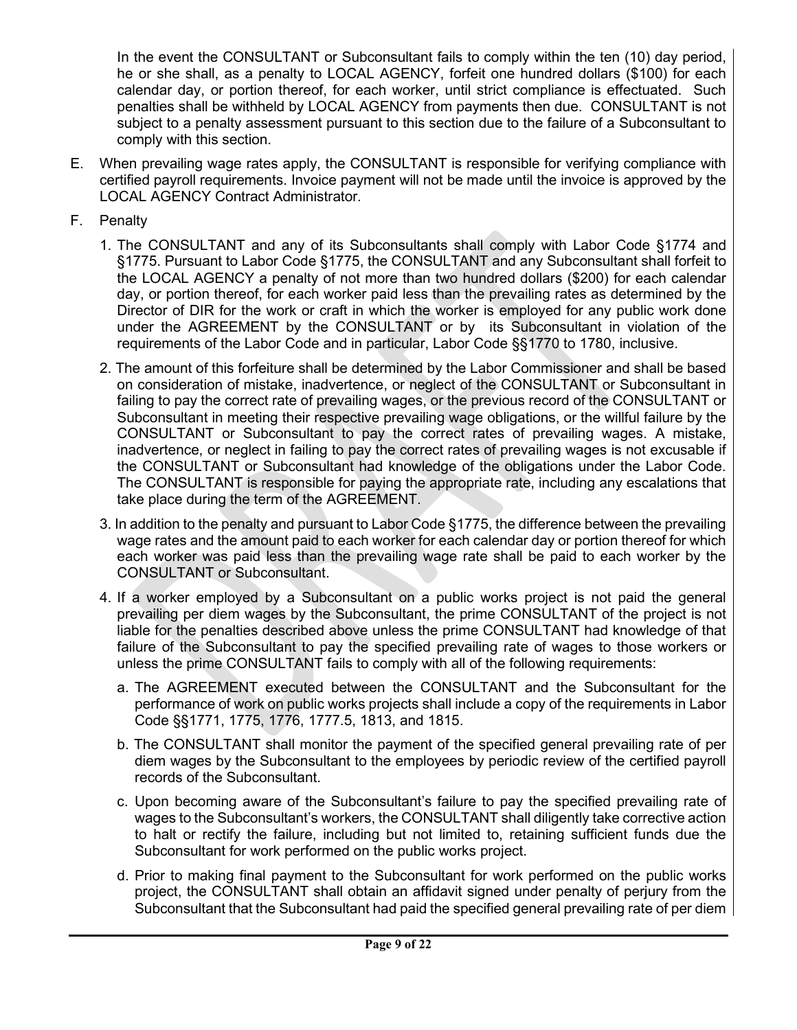In the event the CONSULTANT or Subconsultant fails to comply within the ten (10) day period, he or she shall, as a penalty to LOCAL AGENCY, forfeit one hundred dollars (\$100) for each calendar day, or portion thereof, for each worker, until strict compliance is effectuated. Such penalties shall be withheld by LOCAL AGENCY from payments then due. CONSULTANT is not subject to a penalty assessment pursuant to this section due to the failure of a Subconsultant to comply with this section.

- E. When prevailing wage rates apply, the CONSULTANT is responsible for verifying compliance with certified payroll requirements. Invoice payment will not be made until the invoice is approved by the LOCAL AGENCY Contract Administrator.
- F. Penalty
	- 1. The CONSULTANT and any of its Subconsultants shall comply with Labor Code §1774 and §1775. Pursuant to Labor Code §1775, the CONSULTANT and any Subconsultant shall forfeit to the LOCAL AGENCY a penalty of not more than two hundred dollars (\$200) for each calendar day, or portion thereof, for each worker paid less than the prevailing rates as determined by the Director of DIR for the work or craft in which the worker is employed for any public work done under the AGREEMENT by the CONSULTANT or by its Subconsultant in violation of the requirements of the Labor Code and in particular, Labor Code §§1770 to 1780, inclusive.
	- 2. The amount of this forfeiture shall be determined by the Labor Commissioner and shall be based on consideration of mistake, inadvertence, or neglect of the CONSULTANT or Subconsultant in failing to pay the correct rate of prevailing wages, or the previous record of the CONSULTANT or Subconsultant in meeting their respective prevailing wage obligations, or the willful failure by the CONSULTANT or Subconsultant to pay the correct rates of prevailing wages. A mistake, inadvertence, or neglect in failing to pay the correct rates of prevailing wages is not excusable if the CONSULTANT or Subconsultant had knowledge of the obligations under the Labor Code. The CONSULTANT is responsible for paying the appropriate rate, including any escalations that take place during the term of the AGREEMENT.
	- 3. In addition to the penalty and pursuant to Labor Code §1775, the difference between the prevailing wage rates and the amount paid to each worker for each calendar day or portion thereof for which each worker was paid less than the prevailing wage rate shall be paid to each worker by the CONSULTANT or Subconsultant.
	- 4. If a worker employed by a Subconsultant on a public works project is not paid the general prevailing per diem wages by the Subconsultant, the prime CONSULTANT of the project is not liable for the penalties described above unless the prime CONSULTANT had knowledge of that failure of the Subconsultant to pay the specified prevailing rate of wages to those workers or unless the prime CONSULTANT fails to comply with all of the following requirements:
		- a. The AGREEMENT executed between the CONSULTANT and the Subconsultant for the performance of work on public works projects shall include a copy of the requirements in Labor Code §§1771, 1775, 1776, 1777.5, 1813, and 1815.
		- b. The CONSULTANT shall monitor the payment of the specified general prevailing rate of per diem wages by the Subconsultant to the employees by periodic review of the certified payroll records of the Subconsultant.
		- c. Upon becoming aware of the Subconsultant's failure to pay the specified prevailing rate of wages to the Subconsultant's workers, the CONSULTANT shall diligently take corrective action to halt or rectify the failure, including but not limited to, retaining sufficient funds due the Subconsultant for work performed on the public works project.
		- d. Prior to making final payment to the Subconsultant for work performed on the public works project, the CONSULTANT shall obtain an affidavit signed under penalty of perjury from the Subconsultant that the Subconsultant had paid the specified general prevailing rate of per diem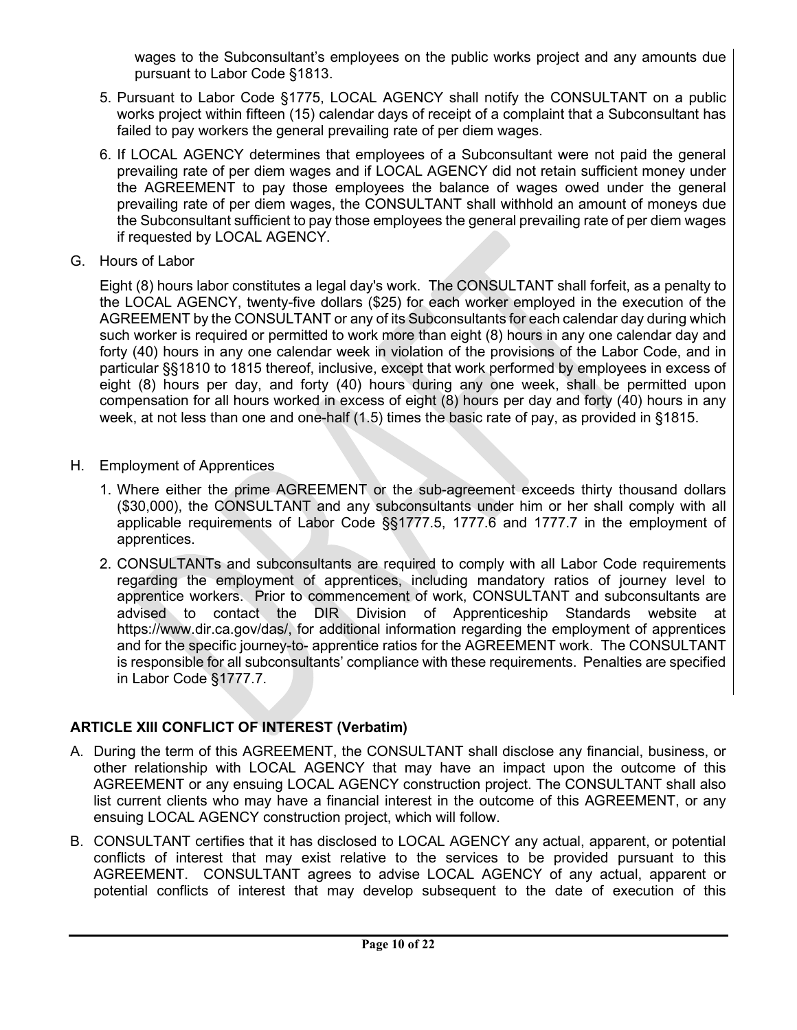wages to the Subconsultant's employees on the public works project and any amounts due pursuant to Labor Code §1813.

- 5. Pursuant to Labor Code §1775, LOCAL AGENCY shall notify the CONSULTANT on a public works project within fifteen (15) calendar days of receipt of a complaint that a Subconsultant has failed to pay workers the general prevailing rate of per diem wages.
- 6. If LOCAL AGENCY determines that employees of a Subconsultant were not paid the general prevailing rate of per diem wages and if LOCAL AGENCY did not retain sufficient money under the AGREEMENT to pay those employees the balance of wages owed under the general prevailing rate of per diem wages, the CONSULTANT shall withhold an amount of moneys due the Subconsultant sufficient to pay those employees the general prevailing rate of per diem wages if requested by LOCAL AGENCY.
- G. Hours of Labor

Eight (8) hours labor constitutes a legal day's work. The CONSULTANT shall forfeit, as a penalty to the LOCAL AGENCY, twenty-five dollars (\$25) for each worker employed in the execution of the AGREEMENT by the CONSULTANT or any of its Subconsultants for each calendar day during which such worker is required or permitted to work more than eight (8) hours in any one calendar day and forty (40) hours in any one calendar week in violation of the provisions of the Labor Code, and in particular §§1810 to 1815 thereof, inclusive, except that work performed by employees in excess of eight (8) hours per day, and forty (40) hours during any one week, shall be permitted upon compensation for all hours worked in excess of eight (8) hours per day and forty (40) hours in any week, at not less than one and one-half (1.5) times the basic rate of pay, as provided in §1815.

- H. Employment of Apprentices
	- 1. Where either the prime AGREEMENT or the sub-agreement exceeds thirty thousand dollars (\$30,000), the CONSULTANT and any subconsultants under him or her shall comply with all applicable requirements of Labor Code §§1777.5, 1777.6 and 1777.7 in the employment of apprentices.
	- 2. CONSULTANTs and subconsultants are required to comply with all Labor Code requirements regarding the employment of apprentices, including mandatory ratios of journey level to apprentice workers. Prior to commencement of work, CONSULTANT and subconsultants are advised to contact the DIR Division of Apprenticeship Standards website at https://www.dir.ca.gov/das/, for additional information regarding the employment of apprentices and for the specific journey-to- apprentice ratios for the AGREEMENT work. The CONSULTANT is responsible for all subconsultants' compliance with these requirements. Penalties are specified in Labor Code §1777.7.

# **ARTICLE XIII CONFLICT OF INTEREST (Verbatim)**

- A. During the term of this AGREEMENT, the CONSULTANT shall disclose any financial, business, or other relationship with LOCAL AGENCY that may have an impact upon the outcome of this AGREEMENT or any ensuing LOCAL AGENCY construction project. The CONSULTANT shall also list current clients who may have a financial interest in the outcome of this AGREEMENT, or any ensuing LOCAL AGENCY construction project, which will follow.
- B. CONSULTANT certifies that it has disclosed to LOCAL AGENCY any actual, apparent, or potential conflicts of interest that may exist relative to the services to be provided pursuant to this AGREEMENT. CONSULTANT agrees to advise LOCAL AGENCY of any actual, apparent or potential conflicts of interest that may develop subsequent to the date of execution of this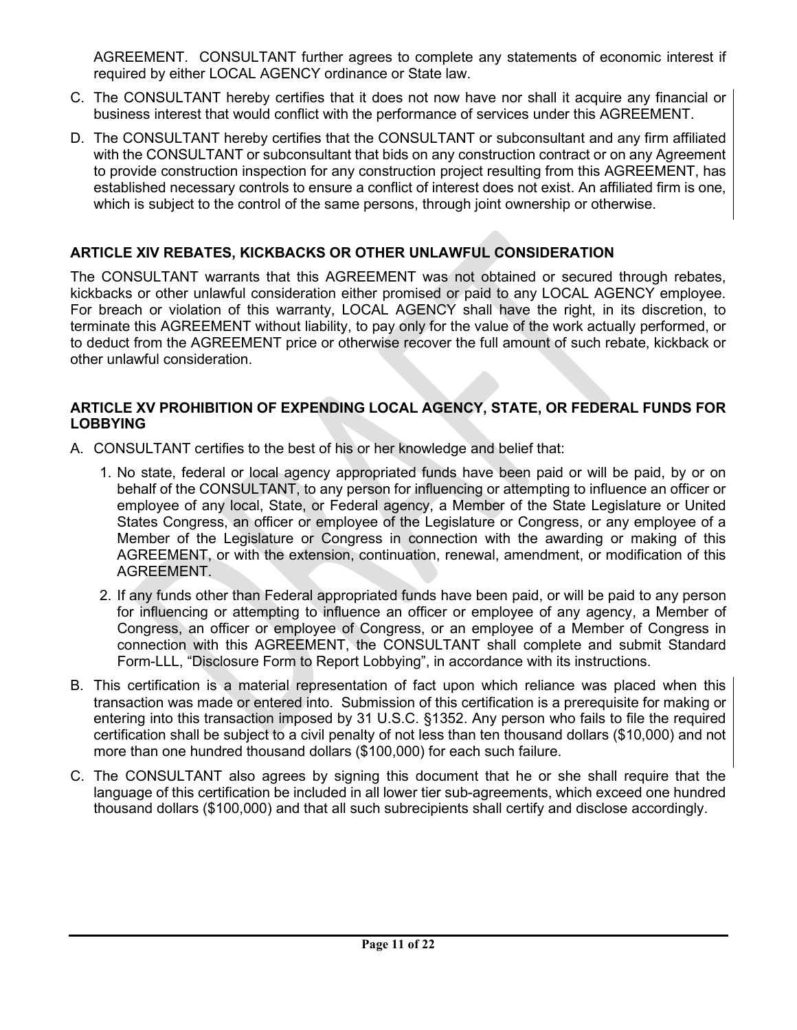AGREEMENT. CONSULTANT further agrees to complete any statements of economic interest if required by either LOCAL AGENCY ordinance or State law.

- C. The CONSULTANT hereby certifies that it does not now have nor shall it acquire any financial or business interest that would conflict with the performance of services under this AGREEMENT.
- D. The CONSULTANT hereby certifies that the CONSULTANT or subconsultant and any firm affiliated with the CONSULTANT or subconsultant that bids on any construction contract or on any Agreement to provide construction inspection for any construction project resulting from this AGREEMENT, has established necessary controls to ensure a conflict of interest does not exist. An affiliated firm is one, which is subject to the control of the same persons, through joint ownership or otherwise.

# **ARTICLE XIV REBATES, KICKBACKS OR OTHER UNLAWFUL CONSIDERATION**

The CONSULTANT warrants that this AGREEMENT was not obtained or secured through rebates, kickbacks or other unlawful consideration either promised or paid to any LOCAL AGENCY employee. For breach or violation of this warranty, LOCAL AGENCY shall have the right, in its discretion, to terminate this AGREEMENT without liability, to pay only for the value of the work actually performed, or to deduct from the AGREEMENT price or otherwise recover the full amount of such rebate, kickback or other unlawful consideration.

#### **ARTICLE XV PROHIBITION OF EXPENDING LOCAL AGENCY, STATE, OR FEDERAL FUNDS FOR LOBBYING**

- A. CONSULTANT certifies to the best of his or her knowledge and belief that:
	- 1. No state, federal or local agency appropriated funds have been paid or will be paid, by or on behalf of the CONSULTANT, to any person for influencing or attempting to influence an officer or employee of any local, State, or Federal agency, a Member of the State Legislature or United States Congress, an officer or employee of the Legislature or Congress, or any employee of a Member of the Legislature or Congress in connection with the awarding or making of this AGREEMENT, or with the extension, continuation, renewal, amendment, or modification of this AGREEMENT.
	- 2. If any funds other than Federal appropriated funds have been paid, or will be paid to any person for influencing or attempting to influence an officer or employee of any agency, a Member of Congress, an officer or employee of Congress, or an employee of a Member of Congress in connection with this AGREEMENT, the CONSULTANT shall complete and submit Standard Form-LLL, "Disclosure Form to Report Lobbying", in accordance with its instructions.
- B. This certification is a material representation of fact upon which reliance was placed when this transaction was made or entered into. Submission of this certification is a prerequisite for making or entering into this transaction imposed by 31 U.S.C. §1352. Any person who fails to file the required certification shall be subject to a civil penalty of not less than ten thousand dollars (\$10,000) and not more than one hundred thousand dollars (\$100,000) for each such failure.
- C. The CONSULTANT also agrees by signing this document that he or she shall require that the language of this certification be included in all lower tier sub-agreements, which exceed one hundred thousand dollars (\$100,000) and that all such subrecipients shall certify and disclose accordingly.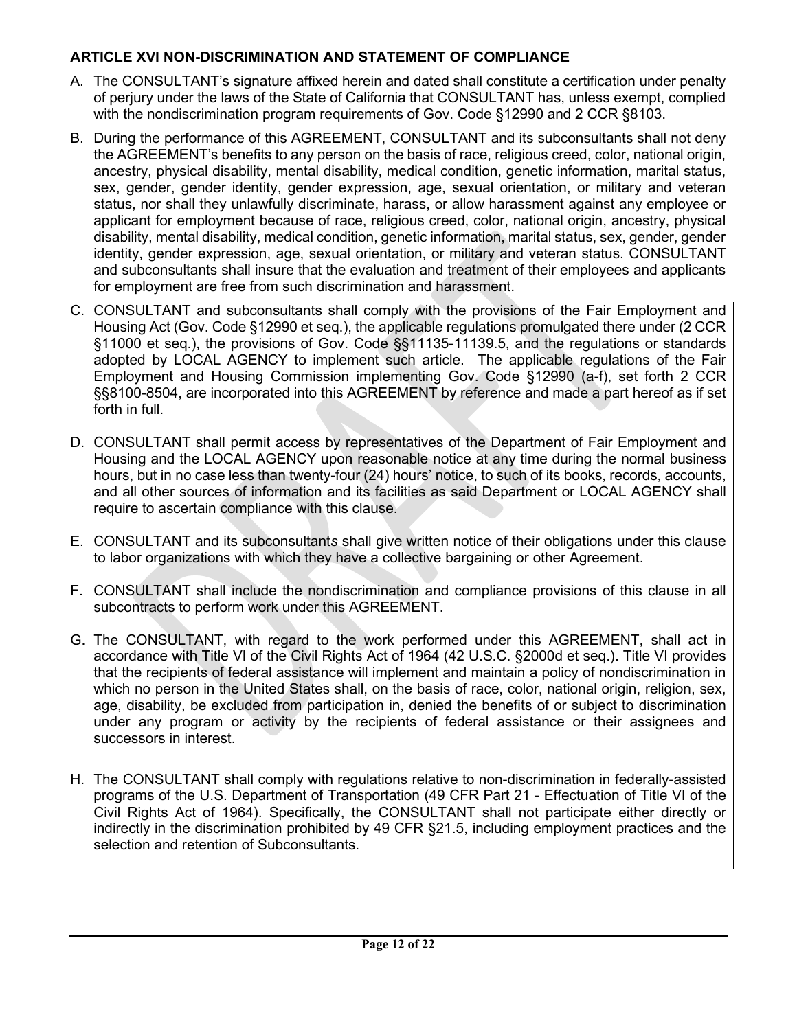# **ARTICLE XVI NON-DISCRIMINATION AND STATEMENT OF COMPLIANCE**

- A. The CONSULTANT's signature affixed herein and dated shall constitute a certification under penalty of perjury under the laws of the State of California that CONSULTANT has, unless exempt, complied with the nondiscrimination program requirements of Gov. Code §12990 and 2 CCR §8103.
- B. During the performance of this AGREEMENT, CONSULTANT and its subconsultants shall not deny the AGREEMENT's benefits to any person on the basis of race, religious creed, color, national origin, ancestry, physical disability, mental disability, medical condition, genetic information, marital status, sex, gender, gender identity, gender expression, age, sexual orientation, or military and veteran status, nor shall they unlawfully discriminate, harass, or allow harassment against any employee or applicant for employment because of race, religious creed, color, national origin, ancestry, physical disability, mental disability, medical condition, genetic information, marital status, sex, gender, gender identity, gender expression, age, sexual orientation, or military and veteran status. CONSULTANT and subconsultants shall insure that the evaluation and treatment of their employees and applicants for employment are free from such discrimination and harassment.
- C. CONSULTANT and subconsultants shall comply with the provisions of the Fair Employment and Housing Act (Gov. Code §12990 et seq.), the applicable regulations promulgated there under (2 CCR §11000 et seq.), the provisions of Gov. Code §§11135-11139.5, and the regulations or standards adopted by LOCAL AGENCY to implement such article. The applicable regulations of the Fair Employment and Housing Commission implementing Gov. Code §12990 (a-f), set forth 2 CCR §§8100-8504, are incorporated into this AGREEMENT by reference and made a part hereof as if set forth in full.
- D. CONSULTANT shall permit access by representatives of the Department of Fair Employment and Housing and the LOCAL AGENCY upon reasonable notice at any time during the normal business hours, but in no case less than twenty-four (24) hours' notice, to such of its books, records, accounts, and all other sources of information and its facilities as said Department or LOCAL AGENCY shall require to ascertain compliance with this clause.
- E. CONSULTANT and its subconsultant*s* shall give written notice of their obligations under this clause to labor organizations with which they have a collective bargaining or other Agreement.
- F. CONSULTANT shall include the nondiscrimination and compliance provisions of this clause in all subcontracts to perform work under this AGREEMENT.
- G. The CONSULTANT, with regard to the work performed under this AGREEMENT, shall act in accordance with Title VI of the Civil Rights Act of 1964 (42 U.S.C. §2000d et seq.). Title VI provides that the recipients of federal assistance will implement and maintain a policy of nondiscrimination in which no person in the United States shall, on the basis of race, color, national origin, religion, sex, age, disability, be excluded from participation in, denied the benefits of or subject to discrimination under any program or activity by the recipients of federal assistance or their assignees and successors in interest.
- H. The CONSULTANT shall comply with regulations relative to non-discrimination in federally-assisted programs of the U.S. Department of Transportation (49 CFR Part 21 - Effectuation of Title VI of the Civil Rights Act of 1964). Specifically, the CONSULTANT shall not participate either directly or indirectly in the discrimination prohibited by 49 CFR §21.5, including employment practices and the selection and retention of Subconsultants.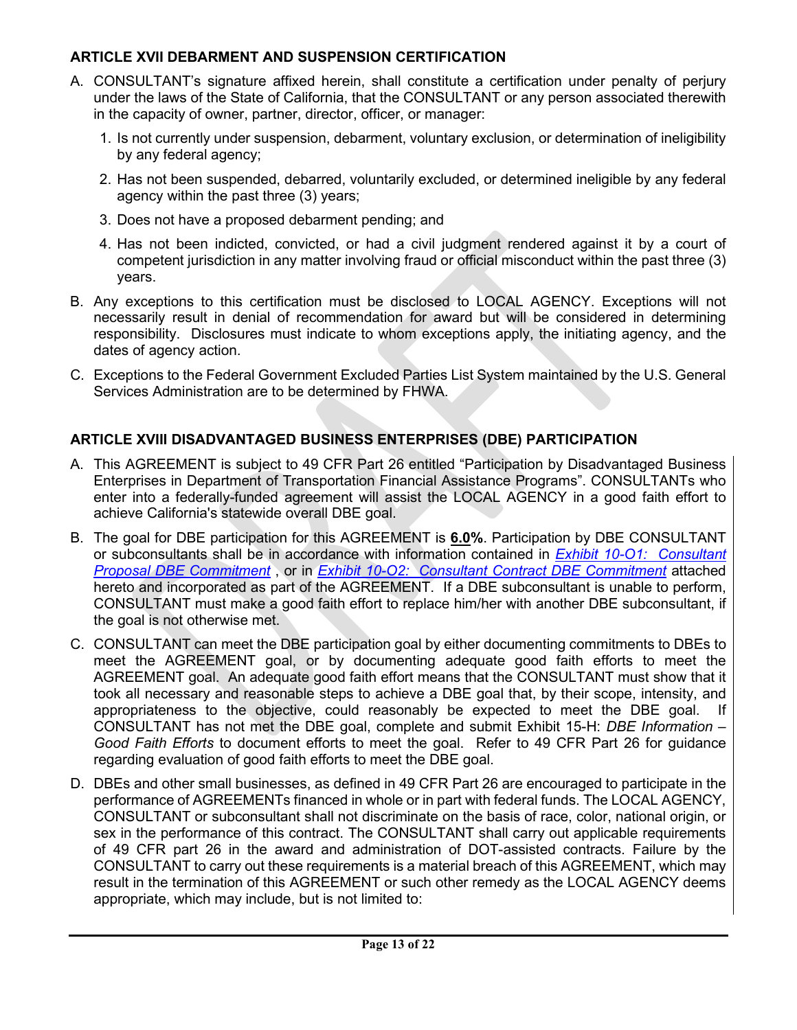## **ARTICLE XVII DEBARMENT AND SUSPENSION CERTIFICATION**

- A. CONSULTANT's signature affixed herein, shall constitute a certification under penalty of perjury under the laws of the State of California, that the CONSULTANT or any person associated therewith in the capacity of owner, partner, director, officer, or manager:
	- 1. Is not currently under suspension, debarment, voluntary exclusion, or determination of ineligibility by any federal agency;
	- 2. Has not been suspended, debarred, voluntarily excluded, or determined ineligible by any federal agency within the past three (3) years;
	- 3. Does not have a proposed debarment pending; and
	- 4. Has not been indicted, convicted, or had a civil judgment rendered against it by a court of competent jurisdiction in any matter involving fraud or official misconduct within the past three (3) years.
- B. Any exceptions to this certification must be disclosed to LOCAL AGENCY. Exceptions will not necessarily result in denial of recommendation for award but will be considered in determining responsibility. Disclosures must indicate to whom exceptions apply, the initiating agency, and the dates of agency action.
- C. Exceptions to the Federal Government Excluded Parties List System maintained by the U.S. General Services Administration are to be determined by FHWA.

# **ARTICLE XVIII DISADVANTAGED BUSINESS ENTERPRISES (DBE) PARTICIPATION**

- A. This AGREEMENT is subject to 49 CFR Part 26 entitled "Participation by Disadvantaged Business Enterprises in Department of Transportation Financial Assistance Programs". CONSULTANTs who enter into a federally-funded agreement will assist the LOCAL AGENCY in a good faith effort to achieve California's statewide overall DBE goal.
- B. The goal for DBE participation for this AGREEMENT is **6.0%**. Participation by DBE CONSULTANT or subconsultants shall be in accordance with information contained in *[Exhibit 10-O1: Consultant](http://www.dot.ca.gov/hq/LocalPrograms/lam/forms/chapter10/10o1.pdf)  [Proposal DBE Commitment](http://www.dot.ca.gov/hq/LocalPrograms/lam/forms/chapter10/10o1.pdf)* , or in *[Exhibit 10-O2: Consultant Contract DBE Commitment](http://www.dot.ca.gov/hq/LocalPrograms/lam/forms/chapter10/10o2.pdf)* attached hereto and incorporated as part of the AGREEMENT. If a DBE subconsultant is unable to perform, CONSULTANT must make a good faith effort to replace him/her with another DBE subconsultant, if the goal is not otherwise met.
- C. CONSULTANT can meet the DBE participation goal by either documenting commitments to DBEs to meet the AGREEMENT goal, or by documenting adequate good faith efforts to meet the AGREEMENT goal. An adequate good faith effort means that the CONSULTANT must show that it took all necessary and reasonable steps to achieve a DBE goal that, by their scope, intensity, and appropriateness to the objective, could reasonably be expected to meet the DBE goal. If CONSULTANT has not met the DBE goal, complete and submit Exhibit 15-H: *DBE Information – Good Faith Efforts* to document efforts to meet the goal. Refer to 49 CFR Part 26 for guidance regarding evaluation of good faith efforts to meet the DBE goal.
- D. DBEs and other small businesses, as defined in 49 CFR Part 26 are encouraged to participate in the performance of AGREEMENTs financed in whole or in part with federal funds. The LOCAL AGENCY, CONSULTANT or subconsultant shall not discriminate on the basis of race, color, national origin, or sex in the performance of this contract. The CONSULTANT shall carry out applicable requirements of 49 CFR part 26 in the award and administration of DOT-assisted contracts. Failure by the CONSULTANT to carry out these requirements is a material breach of this AGREEMENT, which may result in the termination of this AGREEMENT or such other remedy as the LOCAL AGENCY deems appropriate, which may include, but is not limited to: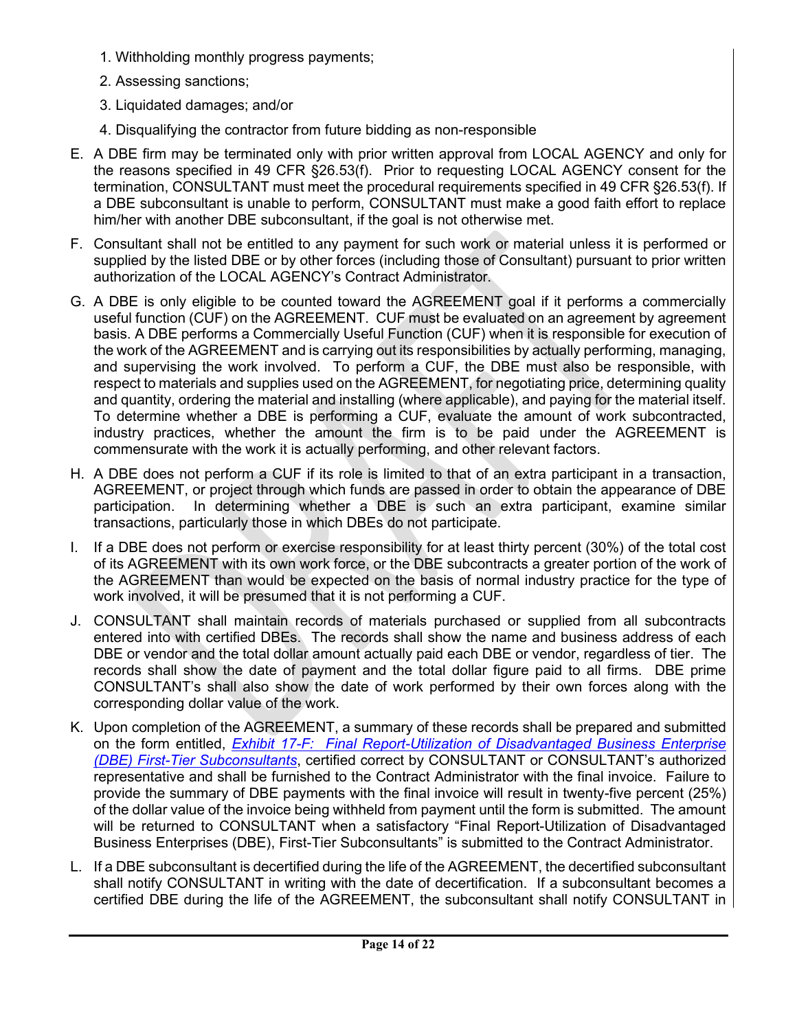- 1. Withholding monthly progress payments;
- 2. Assessing sanctions;
- 3. Liquidated damages; and/or
- 4. Disqualifying the contractor from future bidding as non-responsible
- E. A DBE firm may be terminated only with prior written approval from LOCAL AGENCY and only for the reasons specified in 49 CFR §26.53(f). Prior to requesting LOCAL AGENCY consent for the termination, CONSULTANT must meet the procedural requirements specified in 49 CFR §26.53(f). If a DBE subconsultant is unable to perform, CONSULTANT must make a good faith effort to replace him/her with another DBE subconsultant, if the goal is not otherwise met.
- F. Consultant shall not be entitled to any payment for such work or material unless it is performed or supplied by the listed DBE or by other forces (including those of Consultant) pursuant to prior written authorization of the LOCAL AGENCY's Contract Administrator.
- G. A DBE is only eligible to be counted toward the AGREEMENT goal if it performs a commercially useful function (CUF) on the AGREEMENT. CUF must be evaluated on an agreement by agreement basis. A DBE performs a Commercially Useful Function (CUF) when it is responsible for execution of the work of the AGREEMENT and is carrying out its responsibilities by actually performing, managing, and supervising the work involved. To perform a CUF, the DBE must also be responsible, with respect to materials and supplies used on the AGREEMENT, for negotiating price, determining quality and quantity, ordering the material and installing (where applicable), and paying for the material itself. To determine whether a DBE is performing a CUF, evaluate the amount of work subcontracted, industry practices, whether the amount the firm is to be paid under the AGREEMENT is commensurate with the work it is actually performing, and other relevant factors.
- H. A DBE does not perform a CUF if its role is limited to that of an extra participant in a transaction, AGREEMENT, or project through which funds are passed in order to obtain the appearance of DBE participation. In determining whether a DBE is such an extra participant, examine similar transactions, particularly those in which DBEs do not participate.
- I. If a DBE does not perform or exercise responsibility for at least thirty percent (30%) of the total cost of its AGREEMENT with its own work force, or the DBE subcontracts a greater portion of the work of the AGREEMENT than would be expected on the basis of normal industry practice for the type of work involved, it will be presumed that it is not performing a CUF.
- J. CONSULTANT shall maintain records of materials purchased or supplied from all subcontracts entered into with certified DBEs. The records shall show the name and business address of each DBE or vendor and the total dollar amount actually paid each DBE or vendor, regardless of tier. The records shall show the date of payment and the total dollar figure paid to all firms. DBE prime CONSULTANT's shall also show the date of work performed by their own forces along with the corresponding dollar value of the work.
- K. Upon completion of the AGREEMENT, a summary of these records shall be prepared and submitted on the form entitled, *[Exhibit 17-F: Final Report-Utilization of Disadvantaged Business Enterprise](http://www.dot.ca.gov/hq/LocalPrograms/lam/forms/chapter17/17f.pdf)  [\(DBE\) First-Tier Subconsultants](http://www.dot.ca.gov/hq/LocalPrograms/lam/forms/chapter17/17f.pdf)*, certified correct by CONSULTANT or CONSULTANT's authorized representative and shall be furnished to the Contract Administrator with the final invoice. Failure to provide the summary of DBE payments with the final invoice will result in twenty-five percent (25%) of the dollar value of the invoice being withheld from payment until the form is submitted. The amount will be returned to CONSULTANT when a satisfactory "Final Report-Utilization of Disadvantaged Business Enterprises (DBE), First-Tier Subconsultants" is submitted to the Contract Administrator.
- L. If a DBE subconsultant is decertified during the life of the AGREEMENT, the decertified subconsultant shall notify CONSULTANT in writing with the date of decertification. If a subconsultant becomes a certified DBE during the life of the AGREEMENT, the subconsultant shall notify CONSULTANT in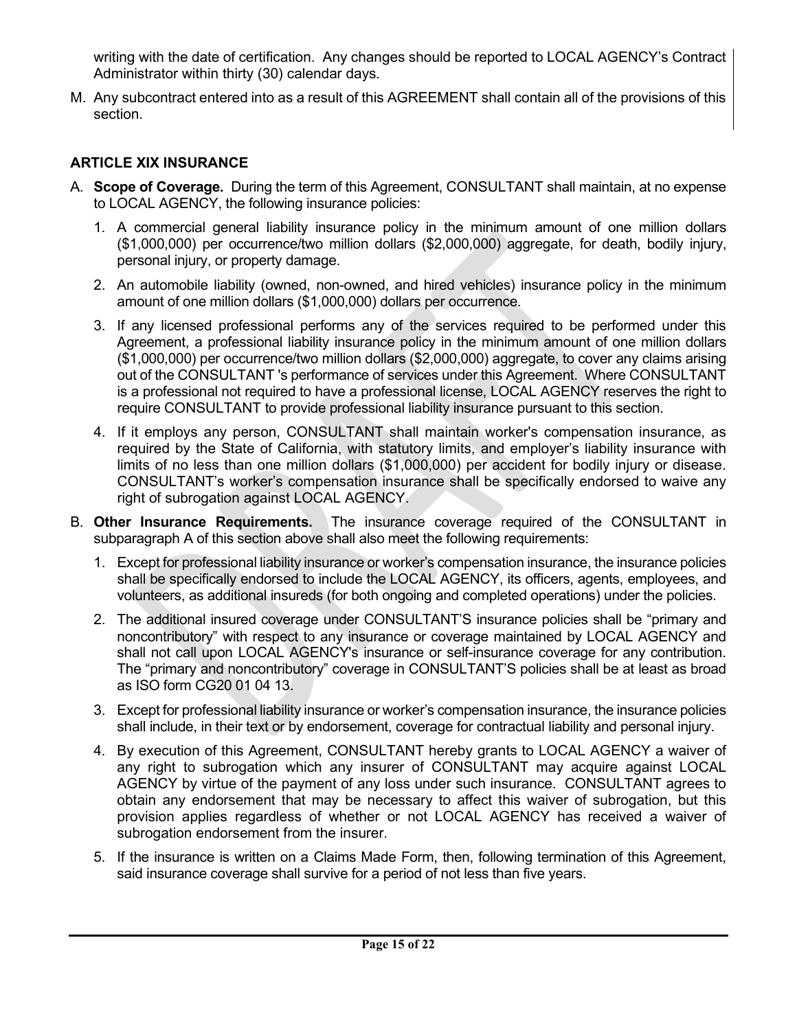writing with the date of certification. Any changes should be reported to LOCAL AGENCY's Contract Administrator within thirty (30) calendar days.

M. Any subcontract entered into as a result of this AGREEMENT shall contain all of the provisions of this section.

# **ARTICLE XIX INSURANCE**

- A. **Scope of Coverage.** During the term of this Agreement, CONSULTANT shall maintain, at no expense to LOCAL AGENCY, the following insurance policies:
	- 1. A commercial general liability insurance policy in the minimum amount of one million dollars (\$1,000,000) per occurrence/two million dollars (\$2,000,000) aggregate, for death, bodily injury, personal injury, or property damage.
	- 2. An automobile liability (owned, non-owned, and hired vehicles) insurance policy in the minimum amount of one million dollars (\$1,000,000) dollars per occurrence.
	- 3. If any licensed professional performs any of the services required to be performed under this Agreement, a professional liability insurance policy in the minimum amount of one million dollars (\$1,000,000) per occurrence/two million dollars (\$2,000,000) aggregate, to cover any claims arising out of the CONSULTANT 's performance of services under this Agreement. Where CONSULTANT is a professional not required to have a professional license, LOCAL AGENCY reserves the right to require CONSULTANT to provide professional liability insurance pursuant to this section.
	- 4. If it employs any person, CONSULTANT shall maintain worker's compensation insurance, as required by the State of California, with statutory limits, and employer's liability insurance with limits of no less than one million dollars (\$1,000,000) per accident for bodily injury or disease. CONSULTANT's worker's compensation insurance shall be specifically endorsed to waive any right of subrogation against LOCAL AGENCY.
- B. **Other Insurance Requirements.** The insurance coverage required of the CONSULTANT in subparagraph A of this section above shall also meet the following requirements:
	- 1. Except for professional liability insurance or worker's compensation insurance, the insurance policies shall be specifically endorsed to include the LOCAL AGENCY, its officers, agents, employees, and volunteers, as additional insureds (for both ongoing and completed operations) under the policies.
	- 2. The additional insured coverage under CONSULTANT'S insurance policies shall be "primary and noncontributory" with respect to any insurance or coverage maintained by LOCAL AGENCY and shall not call upon LOCAL AGENCY's insurance or self-insurance coverage for any contribution. The "primary and noncontributory" coverage in CONSULTANT'S policies shall be at least as broad as ISO form CG20 01 04 13.
	- 3. Except for professional liability insurance or worker's compensation insurance, the insurance policies shall include, in their text or by endorsement, coverage for contractual liability and personal injury.
	- 4. By execution of this Agreement, CONSULTANT hereby grants to LOCAL AGENCY a waiver of any right to subrogation which any insurer of CONSULTANT may acquire against LOCAL AGENCY by virtue of the payment of any loss under such insurance. CONSULTANT agrees to obtain any endorsement that may be necessary to affect this waiver of subrogation, but this provision applies regardless of whether or not LOCAL AGENCY has received a waiver of subrogation endorsement from the insurer.
	- 5. If the insurance is written on a Claims Made Form, then, following termination of this Agreement, said insurance coverage shall survive for a period of not less than five years.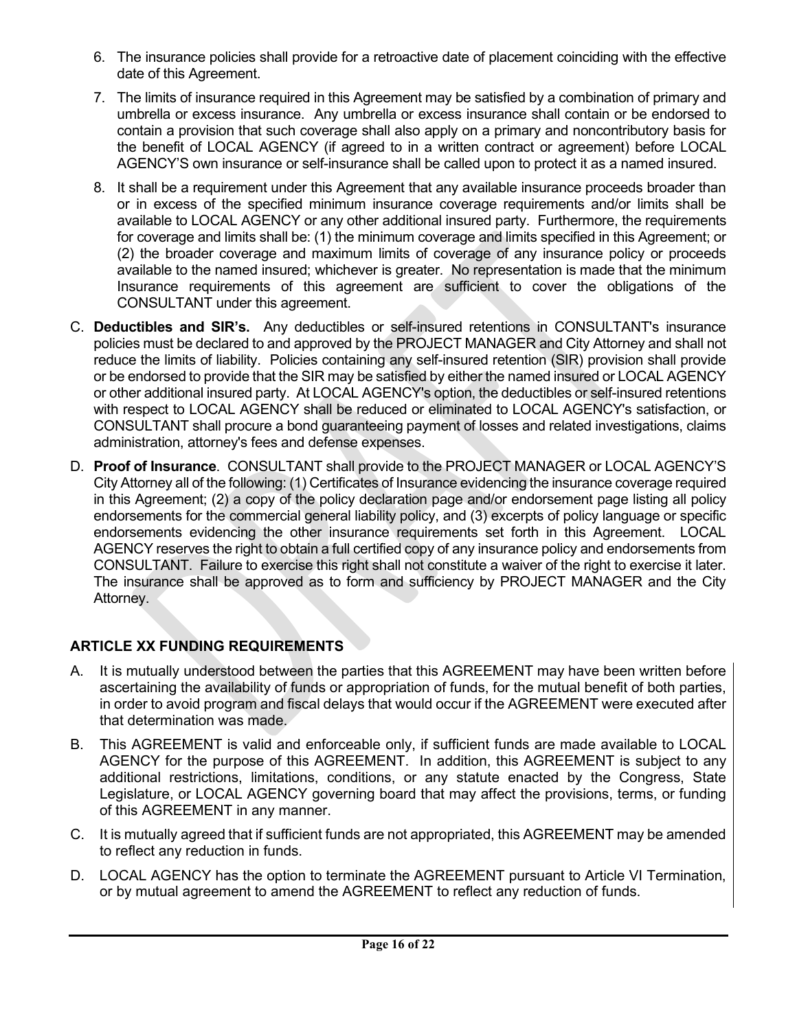- 6. The insurance policies shall provide for a retroactive date of placement coinciding with the effective date of this Agreement.
- 7. The limits of insurance required in this Agreement may be satisfied by a combination of primary and umbrella or excess insurance. Any umbrella or excess insurance shall contain or be endorsed to contain a provision that such coverage shall also apply on a primary and noncontributory basis for the benefit of LOCAL AGENCY (if agreed to in a written contract or agreement) before LOCAL AGENCY'S own insurance or self-insurance shall be called upon to protect it as a named insured.
- 8. It shall be a requirement under this Agreement that any available insurance proceeds broader than or in excess of the specified minimum insurance coverage requirements and/or limits shall be available to LOCAL AGENCY or any other additional insured party. Furthermore, the requirements for coverage and limits shall be: (1) the minimum coverage and limits specified in this Agreement; or (2) the broader coverage and maximum limits of coverage of any insurance policy or proceeds available to the named insured; whichever is greater. No representation is made that the minimum Insurance requirements of this agreement are sufficient to cover the obligations of the CONSULTANT under this agreement.
- C. **Deductibles and SIR's.** Any deductibles or self-insured retentions in CONSULTANT's insurance policies must be declared to and approved by the PROJECT MANAGER and City Attorney and shall not reduce the limits of liability. Policies containing any self-insured retention (SIR) provision shall provide or be endorsed to provide that the SIR may be satisfied by either the named insured or LOCAL AGENCY or other additional insured party. At LOCAL AGENCY's option, the deductibles or self-insured retentions with respect to LOCAL AGENCY shall be reduced or eliminated to LOCAL AGENCY's satisfaction, or CONSULTANT shall procure a bond guaranteeing payment of losses and related investigations, claims administration, attorney's fees and defense expenses.
- D. **Proof of Insurance**. CONSULTANT shall provide to the PROJECT MANAGER or LOCAL AGENCY'S City Attorney all of the following: (1) Certificates of Insurance evidencing the insurance coverage required in this Agreement; (2) a copy of the policy declaration page and/or endorsement page listing all policy endorsements for the commercial general liability policy, and (3) excerpts of policy language or specific endorsements evidencing the other insurance requirements set forth in this Agreement. LOCAL AGENCY reserves the right to obtain a full certified copy of any insurance policy and endorsements from CONSULTANT. Failure to exercise this right shall not constitute a waiver of the right to exercise it later. The insurance shall be approved as to form and sufficiency by PROJECT MANAGER and the City Attorney.

# **ARTICLE XX FUNDING REQUIREMENTS**

- A. It is mutually understood between the parties that this AGREEMENT may have been written before ascertaining the availability of funds or appropriation of funds, for the mutual benefit of both parties, in order to avoid program and fiscal delays that would occur if the AGREEMENT were executed after that determination was made.
- B. This AGREEMENT is valid and enforceable only, if sufficient funds are made available to LOCAL AGENCY for the purpose of this AGREEMENT. In addition, this AGREEMENT is subject to any additional restrictions, limitations, conditions, or any statute enacted by the Congress, State Legislature, or LOCAL AGENCY governing board that may affect the provisions, terms, or funding of this AGREEMENT in any manner.
- C. It is mutually agreed that if sufficient funds are not appropriated, this AGREEMENT may be amended to reflect any reduction in funds.
- D. LOCAL AGENCY has the option to terminate the AGREEMENT pursuant to Article VI Termination, or by mutual agreement to amend the AGREEMENT to reflect any reduction of funds.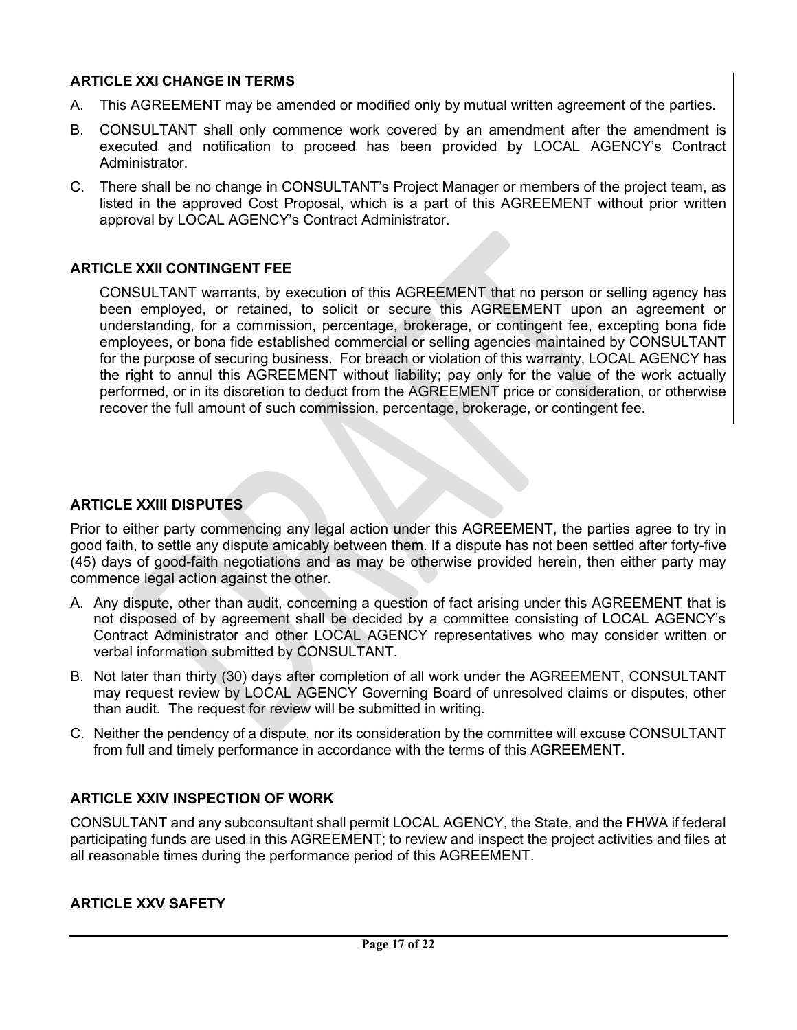## **ARTICLE XXI CHANGE IN TERMS**

- A. This AGREEMENT may be amended or modified only by mutual written agreement of the parties.
- B. CONSULTANT shall only commence work covered by an amendment after the amendment is executed and notification to proceed has been provided by LOCAL AGENCY's Contract Administrator.
- C. There shall be no change in CONSULTANT's Project Manager or members of the project team, as listed in the approved Cost Proposal, which is a part of this AGREEMENT without prior written approval by LOCAL AGENCY's Contract Administrator.

### **ARTICLE XXII CONTINGENT FEE**

CONSULTANT warrants, by execution of this AGREEMENT that no person or selling agency has been employed, or retained, to solicit or secure this AGREEMENT upon an agreement or understanding, for a commission, percentage, brokerage, or contingent fee, excepting bona fide employees, or bona fide established commercial or selling agencies maintained by CONSULTANT for the purpose of securing business. For breach or violation of this warranty, LOCAL AGENCY has the right to annul this AGREEMENT without liability; pay only for the value of the work actually performed, or in its discretion to deduct from the AGREEMENT price or consideration, or otherwise recover the full amount of such commission, percentage, brokerage, or contingent fee.

#### **ARTICLE XXIII DISPUTES**

Prior to either party commencing any legal action under this AGREEMENT, the parties agree to try in good faith, to settle any dispute amicably between them. If a dispute has not been settled after forty-five (45) days of good-faith negotiations and as may be otherwise provided herein, then either party may commence legal action against the other.

- A. Any dispute, other than audit, concerning a question of fact arising under this AGREEMENT that is not disposed of by agreement shall be decided by a committee consisting of LOCAL AGENCY's Contract Administrator and other LOCAL AGENCY representatives who may consider written or verbal information submitted by CONSULTANT.
- B. Not later than thirty (30) days after completion of all work under the AGREEMENT, CONSULTANT may request review by LOCAL AGENCY Governing Board of unresolved claims or disputes, other than audit. The request for review will be submitted in writing.
- C. Neither the pendency of a dispute, nor its consideration by the committee will excuse CONSULTANT from full and timely performance in accordance with the terms of this AGREEMENT.

### **ARTICLE XXIV INSPECTION OF WORK**

CONSULTANT and any subconsultant shall permit LOCAL AGENCY, the State, and the FHWA if federal participating funds are used in this AGREEMENT; to review and inspect the project activities and files at all reasonable times during the performance period of this AGREEMENT.

#### **ARTICLE XXV SAFETY**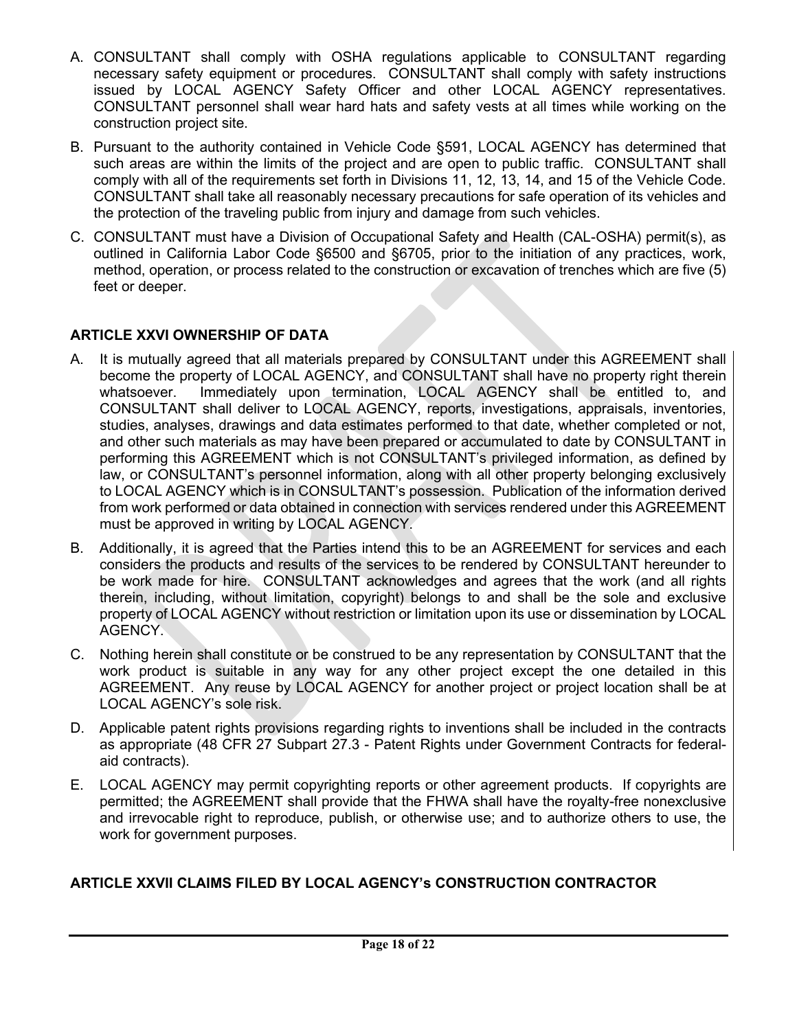- A. CONSULTANT shall comply with OSHA regulations applicable to CONSULTANT regarding necessary safety equipment or procedures. CONSULTANT shall comply with safety instructions issued by LOCAL AGENCY Safety Officer and other LOCAL AGENCY representatives. CONSULTANT personnel shall wear hard hats and safety vests at all times while working on the construction project site.
- B. Pursuant to the authority contained in Vehicle Code §591, LOCAL AGENCY has determined that such areas are within the limits of the project and are open to public traffic. CONSULTANT shall comply with all of the requirements set forth in Divisions 11, 12, 13, 14, and 15 of the Vehicle Code. CONSULTANT shall take all reasonably necessary precautions for safe operation of its vehicles and the protection of the traveling public from injury and damage from such vehicles.
- C. CONSULTANT must have a Division of Occupational Safety and Health (CAL-OSHA) permit(s), as outlined in California Labor Code §6500 and §6705, prior to the initiation of any practices, work, method, operation, or process related to the construction or excavation of trenches which are five (5) feet or deeper.

# **ARTICLE XXVI OWNERSHIP OF DATA**

- A. It is mutually agreed that all materials prepared by CONSULTANT under this AGREEMENT shall become the property of LOCAL AGENCY, and CONSULTANT shall have no property right therein whatsoever. Immediately upon termination, LOCAL AGENCY shall be entitled to, and CONSULTANT shall deliver to LOCAL AGENCY, reports, investigations, appraisals, inventories, studies, analyses, drawings and data estimates performed to that date, whether completed or not, and other such materials as may have been prepared or accumulated to date by CONSULTANT in performing this AGREEMENT which is not CONSULTANT's privileged information, as defined by law, or CONSULTANT's personnel information, along with all other property belonging exclusively to LOCAL AGENCY which is in CONSULTANT's possession. Publication of the information derived from work performed or data obtained in connection with services rendered under this AGREEMENT must be approved in writing by LOCAL AGENCY.
- B. Additionally, it is agreed that the Parties intend this to be an AGREEMENT for services and each considers the products and results of the services to be rendered by CONSULTANT hereunder to be work made for hire. CONSULTANT acknowledges and agrees that the work (and all rights therein, including, without limitation, copyright) belongs to and shall be the sole and exclusive property of LOCAL AGENCY without restriction or limitation upon its use or dissemination by LOCAL AGENCY.
- C. Nothing herein shall constitute or be construed to be any representation by CONSULTANT that the work product is suitable in any way for any other project except the one detailed in this AGREEMENT. Any reuse by LOCAL AGENCY for another project or project location shall be at LOCAL AGENCY's sole risk.
- D. Applicable patent rights provisions regarding rights to inventions shall be included in the contracts as appropriate (48 CFR 27 Subpart 27.3 - Patent Rights under Government Contracts for federalaid contracts).
- E. LOCAL AGENCY may permit copyrighting reports or other agreement products. If copyrights are permitted; the AGREEMENT shall provide that the FHWA shall have the royalty-free nonexclusive and irrevocable right to reproduce, publish, or otherwise use; and to authorize others to use, the work for government purposes.

# **ARTICLE XXVII CLAIMS FILED BY LOCAL AGENCY's CONSTRUCTION CONTRACTOR**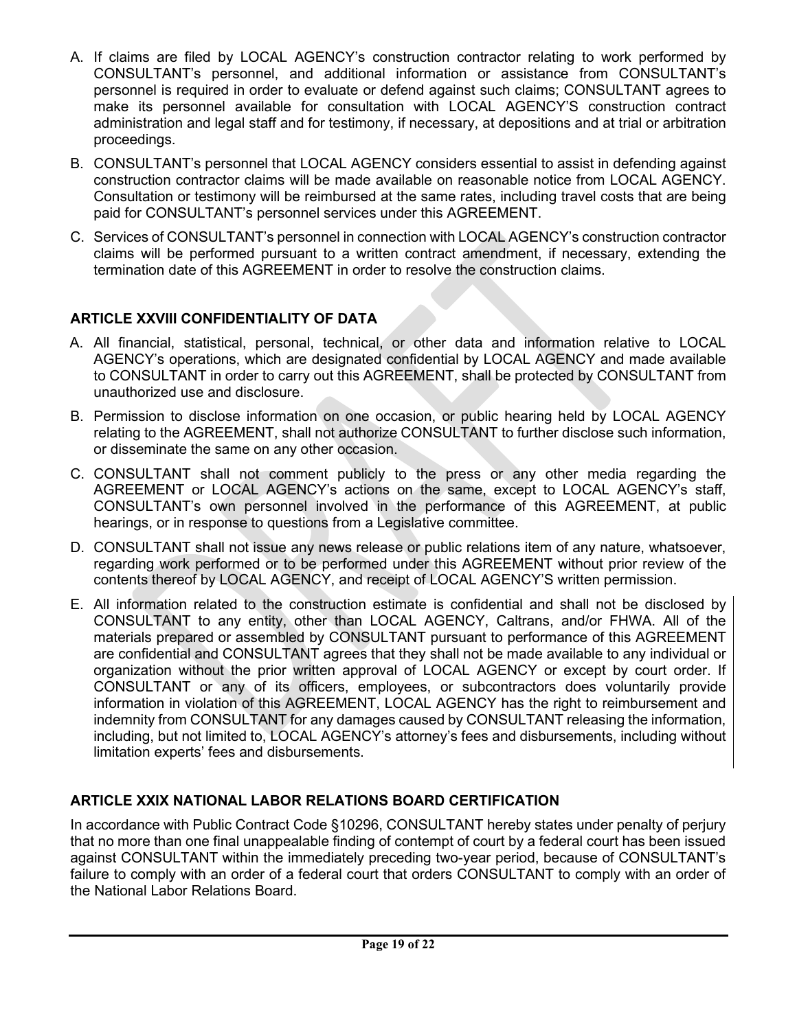- A. If claims are filed by LOCAL AGENCY's construction contractor relating to work performed by CONSULTANT's personnel, and additional information or assistance from CONSULTANT's personnel is required in order to evaluate or defend against such claims; CONSULTANT agrees to make its personnel available for consultation with LOCAL AGENCY'S construction contract administration and legal staff and for testimony, if necessary, at depositions and at trial or arbitration proceedings.
- B. CONSULTANT's personnel that LOCAL AGENCY considers essential to assist in defending against construction contractor claims will be made available on reasonable notice from LOCAL AGENCY. Consultation or testimony will be reimbursed at the same rates, including travel costs that are being paid for CONSULTANT's personnel services under this AGREEMENT.
- C. Services of CONSULTANT's personnel in connection with LOCAL AGENCY's construction contractor claims will be performed pursuant to a written contract amendment, if necessary, extending the termination date of this AGREEMENT in order to resolve the construction claims.

# **ARTICLE XXVIII CONFIDENTIALITY OF DATA**

- A. All financial, statistical, personal, technical, or other data and information relative to LOCAL AGENCY's operations, which are designated confidential by LOCAL AGENCY and made available to CONSULTANT in order to carry out this AGREEMENT, shall be protected by CONSULTANT from unauthorized use and disclosure.
- B. Permission to disclose information on one occasion, or public hearing held by LOCAL AGENCY relating to the AGREEMENT, shall not authorize CONSULTANT to further disclose such information, or disseminate the same on any other occasion.
- C. CONSULTANT shall not comment publicly to the press or any other media regarding the AGREEMENT or LOCAL AGENCY's actions on the same, except to LOCAL AGENCY's staff, CONSULTANT's own personnel involved in the performance of this AGREEMENT, at public hearings, or in response to questions from a Legislative committee.
- D. CONSULTANT shall not issue any news release or public relations item of any nature, whatsoever, regarding work performed or to be performed under this AGREEMENT without prior review of the contents thereof by LOCAL AGENCY, and receipt of LOCAL AGENCY'S written permission.
- E. All information related to the construction estimate is confidential and shall not be disclosed by CONSULTANT to any entity, other than LOCAL AGENCY, Caltrans, and/or FHWA. All of the materials prepared or assembled by CONSULTANT pursuant to performance of this AGREEMENT are confidential and CONSULTANT agrees that they shall not be made available to any individual or organization without the prior written approval of LOCAL AGENCY or except by court order. If CONSULTANT or any of its officers, employees, or subcontractors does voluntarily provide information in violation of this AGREEMENT, LOCAL AGENCY has the right to reimbursement and indemnity from CONSULTANT for any damages caused by CONSULTANT releasing the information, including, but not limited to, LOCAL AGENCY's attorney's fees and disbursements, including without limitation experts' fees and disbursements.

# **ARTICLE XXIX NATIONAL LABOR RELATIONS BOARD CERTIFICATION**

In accordance with Public Contract Code §10296, CONSULTANT hereby states under penalty of perjury that no more than one final unappealable finding of contempt of court by a federal court has been issued against CONSULTANT within the immediately preceding two-year period, because of CONSULTANT's failure to comply with an order of a federal court that orders CONSULTANT to comply with an order of the National Labor Relations Board.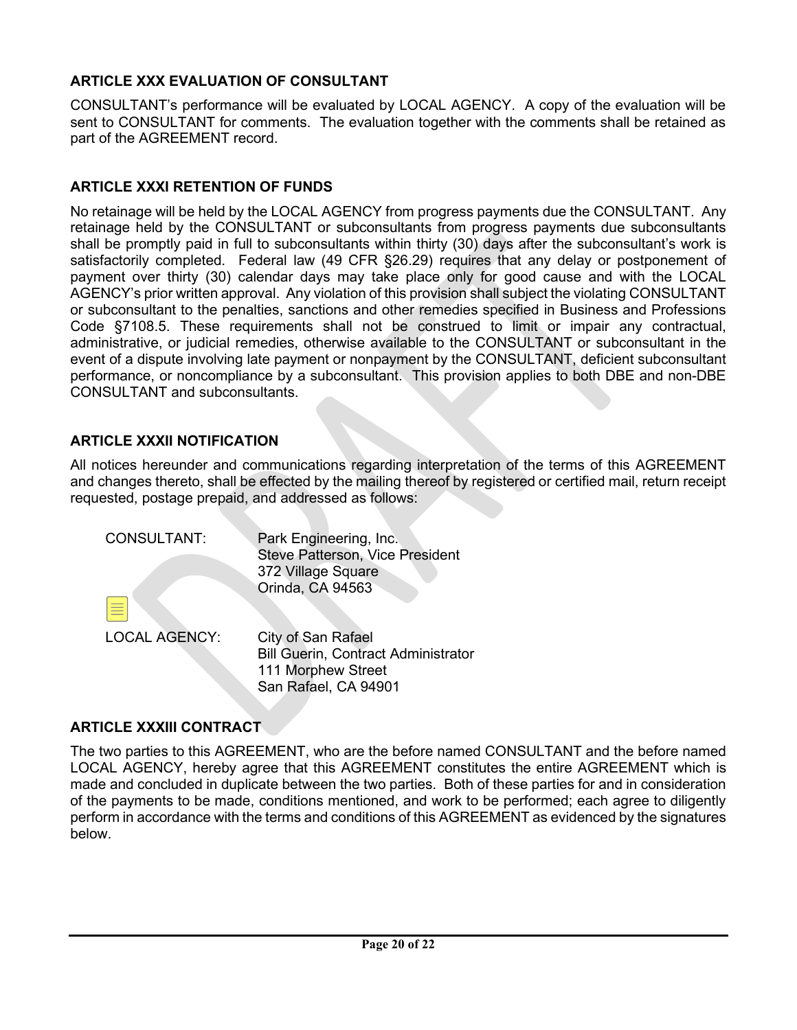# **ARTICLE XXX EVALUATION OF CONSULTANT**

CONSULTANT's performance will be evaluated by LOCAL AGENCY. A copy of the evaluation will be sent to CONSULTANT for comments. The evaluation together with the comments shall be retained as part of the AGREEMENT record.

#### **ARTICLE XXXI RETENTION OF FUNDS**

No retainage will be held by the LOCAL AGENCY from progress payments due the CONSULTANT. Any retainage held by the CONSULTANT or subconsultants from progress payments due subconsultants shall be promptly paid in full to subconsultants within thirty (30) days after the subconsultant's work is satisfactorily completed. Federal law (49 CFR §26.29) requires that any delay or postponement of payment over thirty (30) calendar days may take place only for good cause and with the LOCAL AGENCY's prior written approval. Any violation of this provision shall subject the violating CONSULTANT or subconsultant to the penalties, sanctions and other remedies specified in Business and Professions Code §7108.5. These requirements shall not be construed to limit or impair any contractual, administrative, or judicial remedies, otherwise available to the CONSULTANT or subconsultant in the event of a dispute involving late payment or nonpayment by the CONSULTANT, deficient subconsultant performance, or noncompliance by a subconsultant. This provision applies to both DBE and non-DBE CONSULTANT and subconsultants.

#### **ARTICLE XXXII NOTIFICATION**

All notices hereunder and communications regarding interpretation of the terms of this AGREEMENT and changes thereto, shall be effected by the mailing thereof by registered or certified mail, return receipt requested, postage prepaid, and addressed as follows:

| <b>CONSULTANT:</b>   | Park Engineering, Inc.<br><b>Steve Patterson, Vice President</b><br>372 Village Square<br>Orinda, CA 94563     |
|----------------------|----------------------------------------------------------------------------------------------------------------|
| <b>LOCAL AGENCY:</b> | City of San Rafael<br><b>Bill Guerin, Contract Administrator</b><br>111 Morphew Street<br>San Rafael, CA 94901 |

#### **ARTICLE XXXIII CONTRACT**

The two parties to this AGREEMENT, who are the before named CONSULTANT and the before named LOCAL AGENCY, hereby agree that this AGREEMENT constitutes the entire AGREEMENT which is made and concluded in duplicate between the two parties. Both of these parties for and in consideration of the payments to be made, conditions mentioned, and work to be performed; each agree to diligently perform in accordance with the terms and conditions of this AGREEMENT as evidenced by the signatures below.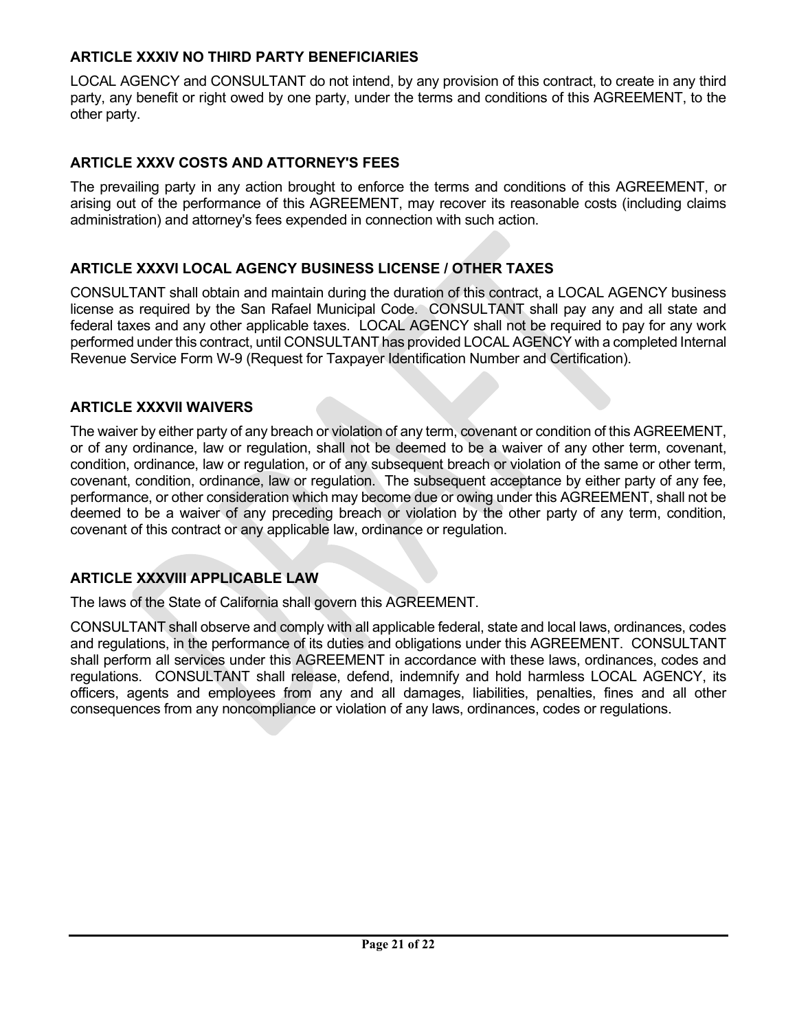# **ARTICLE XXXIV NO THIRD PARTY BENEFICIARIES**

LOCAL AGENCY and CONSULTANT do not intend, by any provision of this contract, to create in any third party, any benefit or right owed by one party, under the terms and conditions of this AGREEMENT, to the other party.

#### **ARTICLE XXXV COSTS AND ATTORNEY'S FEES**

The prevailing party in any action brought to enforce the terms and conditions of this AGREEMENT, or arising out of the performance of this AGREEMENT, may recover its reasonable costs (including claims administration) and attorney's fees expended in connection with such action.

#### **ARTICLE XXXVI LOCAL AGENCY BUSINESS LICENSE / OTHER TAXES**

CONSULTANT shall obtain and maintain during the duration of this contract, a LOCAL AGENCY business license as required by the San Rafael Municipal Code. CONSULTANT shall pay any and all state and federal taxes and any other applicable taxes. LOCAL AGENCY shall not be required to pay for any work performed under this contract, until CONSULTANT has provided LOCAL AGENCY with a completed Internal Revenue Service Form W-9 (Request for Taxpayer Identification Number and Certification).

#### **ARTICLE XXXVII WAIVERS**

The waiver by either party of any breach or violation of any term, covenant or condition of this AGREEMENT, or of any ordinance, law or regulation, shall not be deemed to be a waiver of any other term, covenant, condition, ordinance, law or regulation, or of any subsequent breach or violation of the same or other term, covenant, condition, ordinance, law or regulation. The subsequent acceptance by either party of any fee, performance, or other consideration which may become due or owing under this AGREEMENT, shall not be deemed to be a waiver of any preceding breach or violation by the other party of any term, condition, covenant of this contract or any applicable law, ordinance or regulation.

### **ARTICLE XXXVIII APPLICABLE LAW**

The laws of the State of California shall govern this AGREEMENT.

CONSULTANT shall observe and comply with all applicable federal, state and local laws, ordinances, codes and regulations, in the performance of its duties and obligations under this AGREEMENT. CONSULTANT shall perform all services under this AGREEMENT in accordance with these laws, ordinances, codes and regulations. CONSULTANT shall release, defend, indemnify and hold harmless LOCAL AGENCY, its officers, agents and employees from any and all damages, liabilities, penalties, fines and all other consequences from any noncompliance or violation of any laws, ordinances, codes or regulations.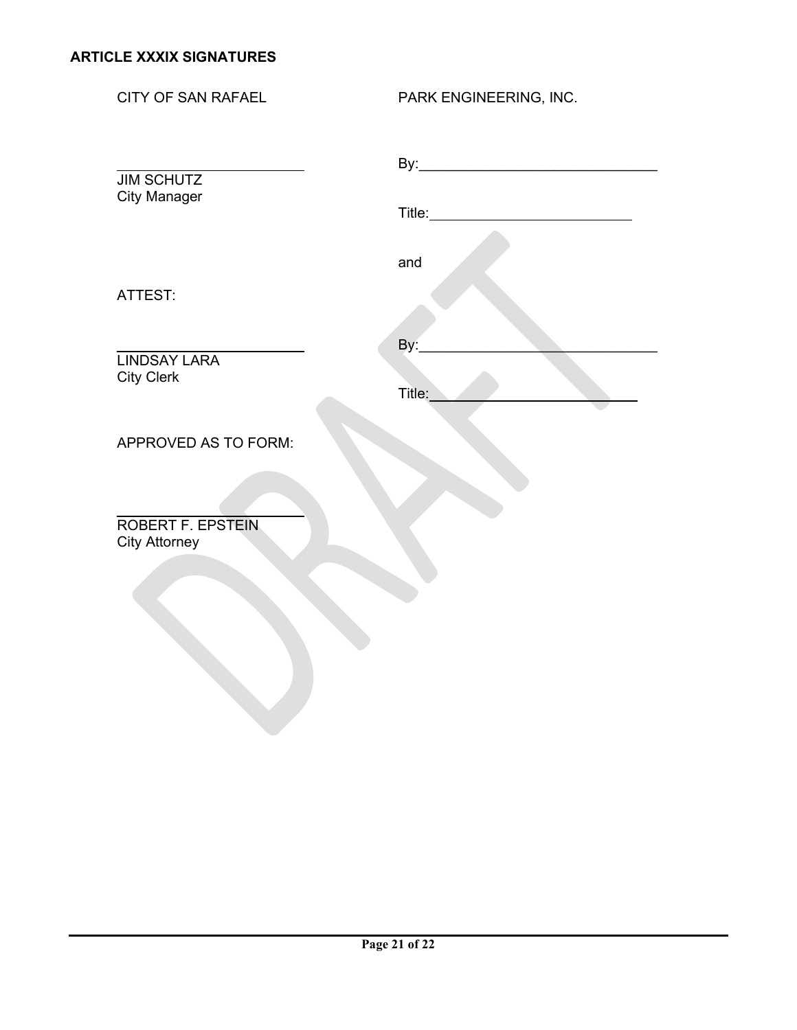CITY OF SAN RAFAEL PARK ENGINEERING, INC. By:\_\_\_\_\_\_\_\_\_\_\_\_\_\_\_\_\_\_\_\_\_\_\_\_\_\_\_\_\_\_ JIM SCHUTZ City Manager Title: and the contract of the contract of the contract of the contract of the contract of the contract of the contra ATTEST: By:\_\_\_\_\_\_\_\_\_\_\_\_\_\_\_\_\_\_\_\_\_\_\_\_\_\_\_\_\_\_ LINDSAY LARA City Clerk Title: APPROVED AS TO FORM: ROBERT F. EPSTEIN City Attorney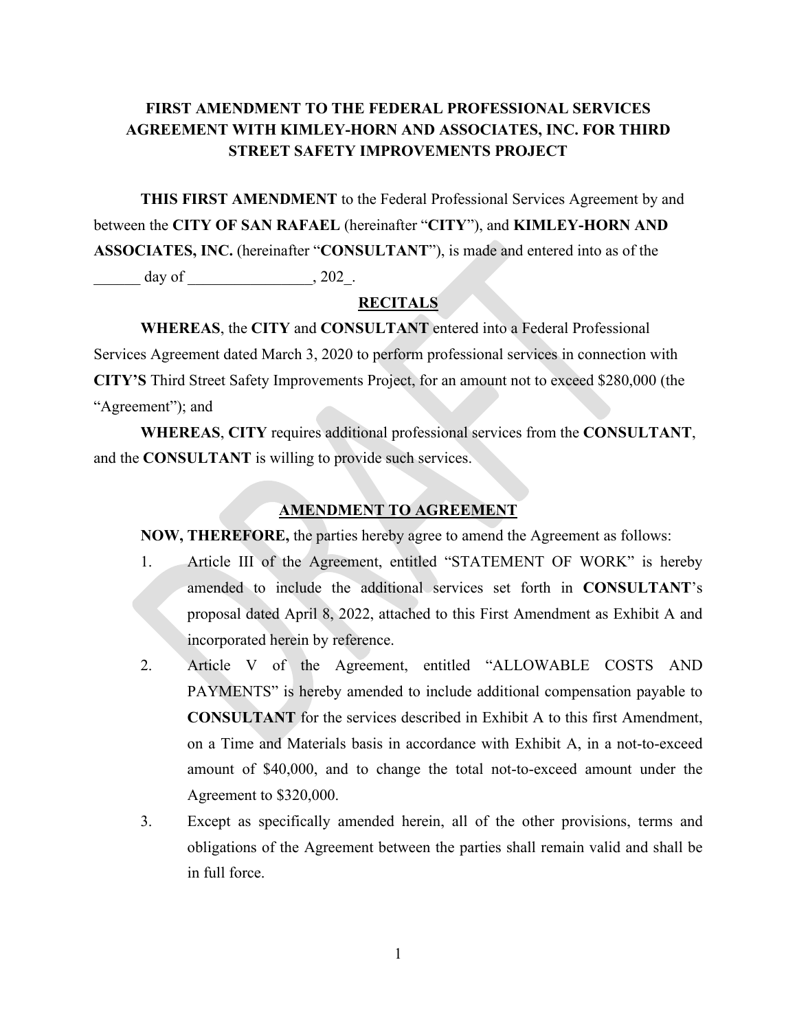# **FIRST AMENDMENT TO THE FEDERAL PROFESSIONAL SERVICES AGREEMENT WITH KIMLEY-HORN AND ASSOCIATES, INC. FOR THIRD STREET SAFETY IMPROVEMENTS PROJECT**

**THIS FIRST AMENDMENT** to the Federal Professional Services Agreement by and between the **CITY OF SAN RAFAEL** (hereinafter "**CITY**"), and **KIMLEY-HORN AND ASSOCIATES, INC.** (hereinafter "**CONSULTANT**"), is made and entered into as of the day of \_\_\_\_\_\_\_\_\_\_\_\_\_\_\_\_, 202\_.

#### **RECITALS**

**WHEREAS**, the **CITY** and **CONSULTANT** entered into a Federal Professional Services Agreement dated March 3, 2020 to perform professional services in connection with **CITY'S** Third Street Safety Improvements Project, for an amount not to exceed \$280,000 (the "Agreement"); and

**WHEREAS**, **CITY** requires additional professional services from the **CONSULTANT**, and the **CONSULTANT** is willing to provide such services.

#### **AMENDMENT TO AGREEMENT**

**NOW, THEREFORE,** the parties hereby agree to amend the Agreement as follows:

- 1. Article III of the Agreement, entitled "STATEMENT OF WORK" is hereby amended to include the additional services set forth in **CONSULTANT**'s proposal dated April 8, 2022, attached to this First Amendment as Exhibit A and incorporated herein by reference.
- 2. Article V of the Agreement, entitled "ALLOWABLE COSTS AND PAYMENTS" is hereby amended to include additional compensation payable to **CONSULTANT** for the services described in Exhibit A to this first Amendment, on a Time and Materials basis in accordance with Exhibit A, in a not-to-exceed amount of \$40,000, and to change the total not-to-exceed amount under the Agreement to \$320,000.
- 3. Except as specifically amended herein, all of the other provisions, terms and obligations of the Agreement between the parties shall remain valid and shall be in full force.